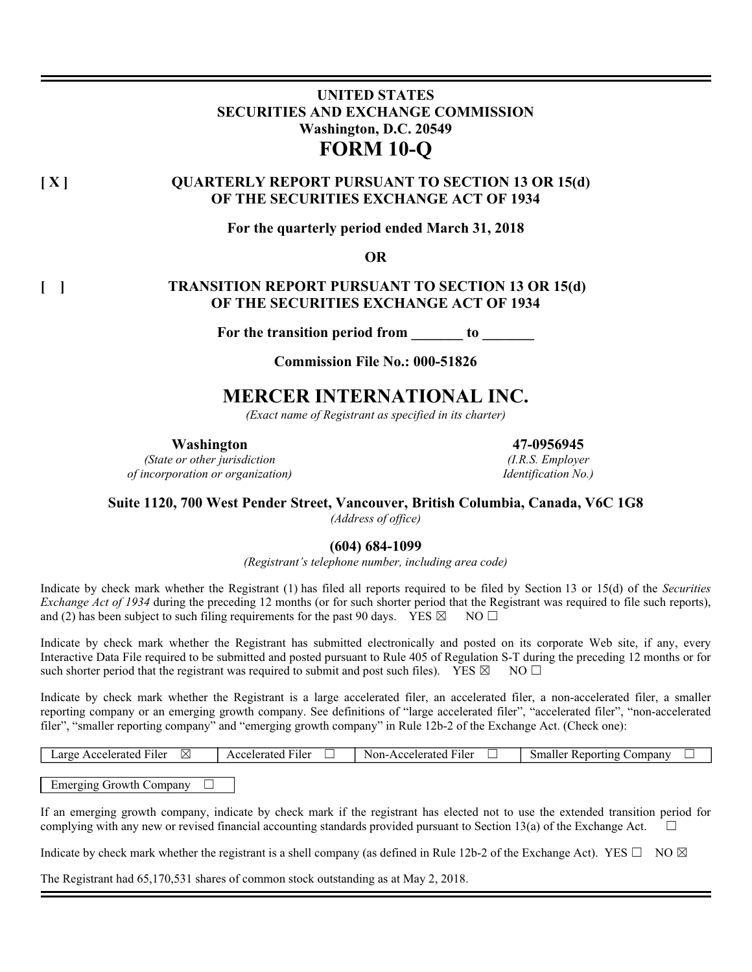|              | <b>UNITED STATES</b>                                     |
|--------------|----------------------------------------------------------|
|              | <b>SECURITIES AND EXCHANGE COMMISSION</b>                |
|              | Washington, D.C. 20549                                   |
|              | <b>FORM 10-Q</b>                                         |
| $\mathbf{X}$ | <b>QUARTERLY REPORT PURSUANT TO SECTION 13 OR 15(d)</b>  |
|              | OF THE SECURITIES EXCHANGE ACT OF 1934                   |
|              | For the quarterly period ended March 31, 2018            |
|              | <b>OR</b>                                                |
|              | <b>TRANSITION REPORT PURSUANT TO SECTION 13 OR 15(d)</b> |
|              | OF THE SECURITIES EXCHANGE ACT OF 1934                   |
|              | For the transition period from<br>to                     |

**Commission File No.: 000-51826** 

# **MERCER INTERNATIONAL INC.**

*(Exact name of Registrant as specified in its charter)* 

**Washington 47-0956945**

*(State or other jurisdiction of incorporation or organization)*

*(I.R.S. Employer Identification No.)*

# **Suite 1120, 700 West Pender Street, Vancouver, British Columbia, Canada, V6C 1G8**

*(Address of office)* 

### **(604) 684-1099**

*(Registrant's telephone number, including area code)* 

Indicate by check mark whether the Registrant (1) has filed all reports required to be filed by Section 13 or 15(d) of the *Securities Exchange Act of 1934* during the preceding 12 months (or for such shorter period that the Registrant was required to file such reports), and (2) has been subject to such filing requirements for the past 90 days. YES  $\boxtimes$  NO  $\Box$ 

Indicate by check mark whether the Registrant has submitted electronically and posted on its corporate Web site, if any, every Interactive Data File required to be submitted and posted pursuant to Rule 405 of Regulation S-T during the preceding 12 months or for such shorter period that the registrant was required to submit and post such files). YES  $\boxtimes$  NO  $\Box$ 

Indicate by check mark whether the Registrant is a large accelerated filer, an accelerated filer, a non-accelerated filer, a smaller reporting company or an emerging growth company. See definitions of "large accelerated filer", "accelerated filer", "non-accelerated filer", "smaller reporting company" and "emerging growth company" in Rule 12b-2 of the Exchange Act. (Check one):

| IХ<br>arge<br>elerated<br>یہ م<br>∼<br>11et<br> | ിപ<br>ົດທດ<br>ше | Non-<br>11er<br>$\sim$<br>$\lambda$ $\alpha$<br>atec:<br>ære | $\mathcal{L}$ ompart<br>enort<br>٦n٤<br>.ler<br>в.<br>הוור |
|-------------------------------------------------|------------------|--------------------------------------------------------------|------------------------------------------------------------|
|                                                 |                  |                                                              |                                                            |

Emerging Growth Company  $\Box$ 

If an emerging growth company, indicate by check mark if the registrant has elected not to use the extended transition period for complying with any new or revised financial accounting standards provided pursuant to Section 13(a) of the Exchange Act.

Indicate by check mark whether the registrant is a shell company (as defined in Rule 12b-2 of the Exchange Act). YES  $\square$  NO  $\boxtimes$ 

The Registrant had 65,170,531 shares of common stock outstanding as at May 2, 2018.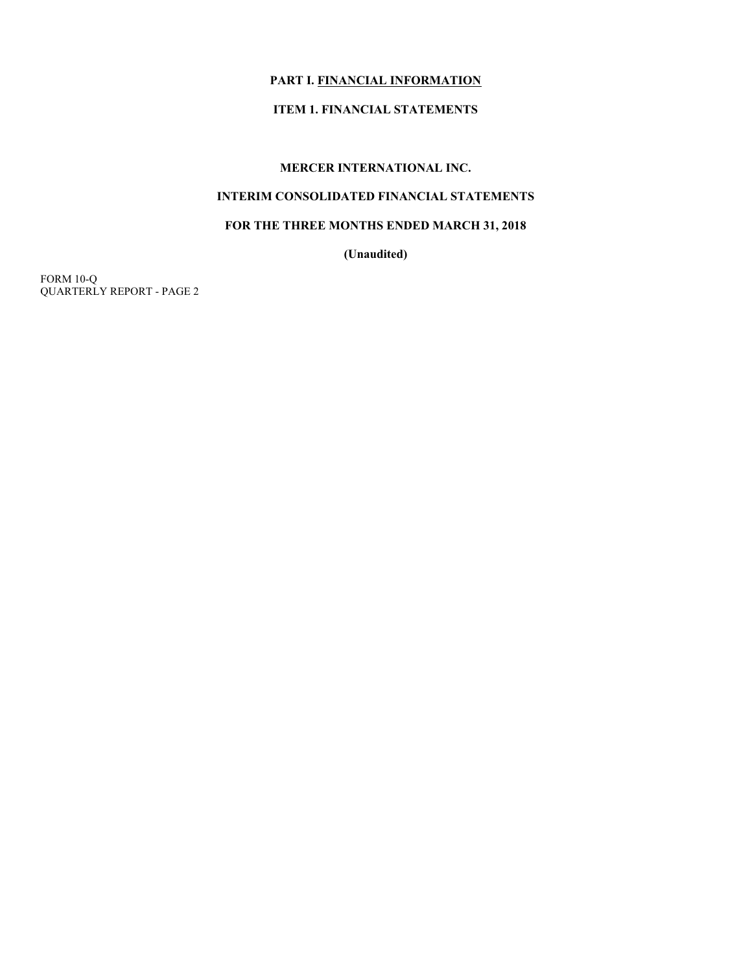### **PART I. FINANCIAL INFORMATION**

# **ITEM 1. FINANCIAL STATEMENTS**

### **MERCER INTERNATIONAL INC.**

# **INTERIM CONSOLIDATED FINANCIAL STATEMENTS**

### **FOR THE THREE MONTHS ENDED MARCH 31, 2018**

**(Unaudited)**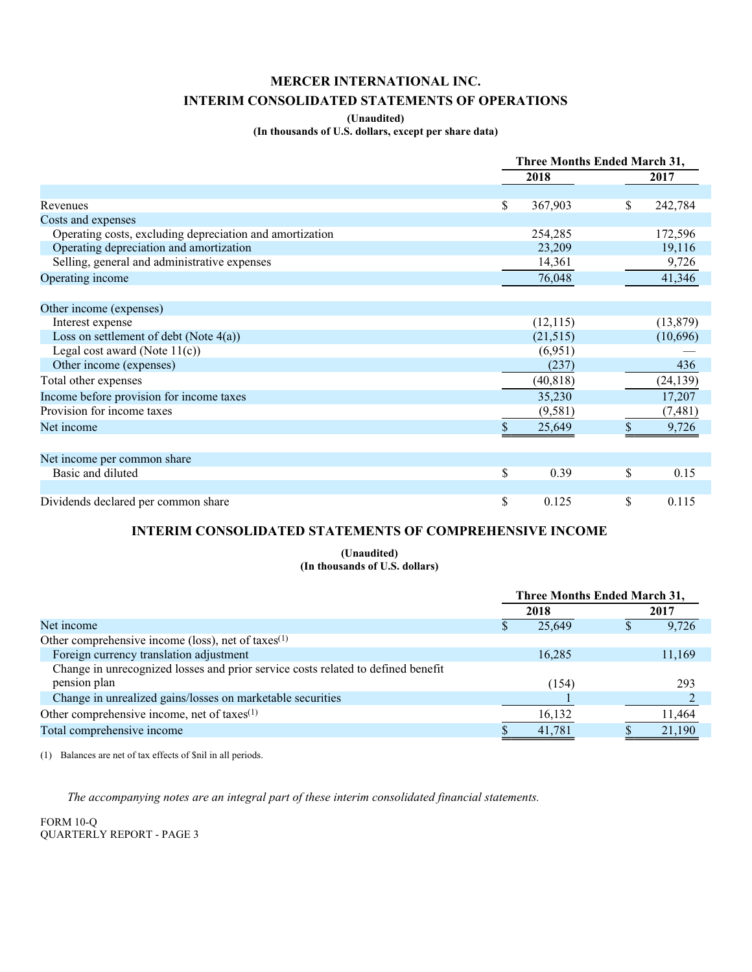### **INTERIM CONSOLIDATED STATEMENTS OF OPERATIONS**

### **(Unaudited)**

**(In thousands of U.S. dollars, except per share data)** 

|                                                          | Three Months Ended March 31, |    |           |  |  |
|----------------------------------------------------------|------------------------------|----|-----------|--|--|
|                                                          | 2018                         |    | 2017      |  |  |
|                                                          |                              |    |           |  |  |
| Revenues                                                 | \$<br>367,903                | \$ | 242,784   |  |  |
| Costs and expenses                                       |                              |    |           |  |  |
| Operating costs, excluding depreciation and amortization | 254,285                      |    | 172,596   |  |  |
| Operating depreciation and amortization                  | 23,209                       |    | 19,116    |  |  |
| Selling, general and administrative expenses             | 14,361                       |    | 9,726     |  |  |
| Operating income                                         | 76,048                       |    | 41,346    |  |  |
|                                                          |                              |    |           |  |  |
| Other income (expenses)                                  |                              |    |           |  |  |
| Interest expense                                         | (12, 115)                    |    | (13, 879) |  |  |
| Loss on settlement of debt (Note $4(a)$ )                | (21,515)                     |    | (10,696)  |  |  |
| Legal cost award (Note $11(c)$ )                         | (6,951)                      |    |           |  |  |
| Other income (expenses)                                  | (237)                        |    | 436       |  |  |
| Total other expenses                                     | (40, 818)                    |    | (24, 139) |  |  |
| Income before provision for income taxes                 | 35,230                       |    | 17,207    |  |  |
| Provision for income taxes                               | (9,581)                      |    | (7, 481)  |  |  |
| Net income                                               | \$<br>25,649                 |    | 9,726     |  |  |
|                                                          |                              |    |           |  |  |
| Net income per common share                              |                              |    |           |  |  |
| Basic and diluted                                        | \$<br>0.39                   | \$ | 0.15      |  |  |
|                                                          |                              |    |           |  |  |
| Dividends declared per common share                      | \$<br>0.125                  | \$ | 0.115     |  |  |

### **INTERIM CONSOLIDATED STATEMENTS OF COMPREHENSIVE INCOME**

### **(Unaudited) (In thousands of U.S. dollars)**

| <b>Three Months Ended March 31,</b> |        |  |        |  |
|-------------------------------------|--------|--|--------|--|
|                                     | 2018   |  | 2017   |  |
|                                     | 25,649 |  | 9.726  |  |
|                                     |        |  |        |  |
|                                     | 16,285 |  | 11,169 |  |
|                                     |        |  |        |  |
|                                     | (154)  |  | 293    |  |
|                                     |        |  |        |  |
|                                     | 16,132 |  | 11,464 |  |
|                                     | 41,781 |  | 21,190 |  |
|                                     |        |  |        |  |

(1) Balances are net of tax effects of \$nil in all periods.

*The accompanying notes are an integral part of these interim consolidated financial statements.*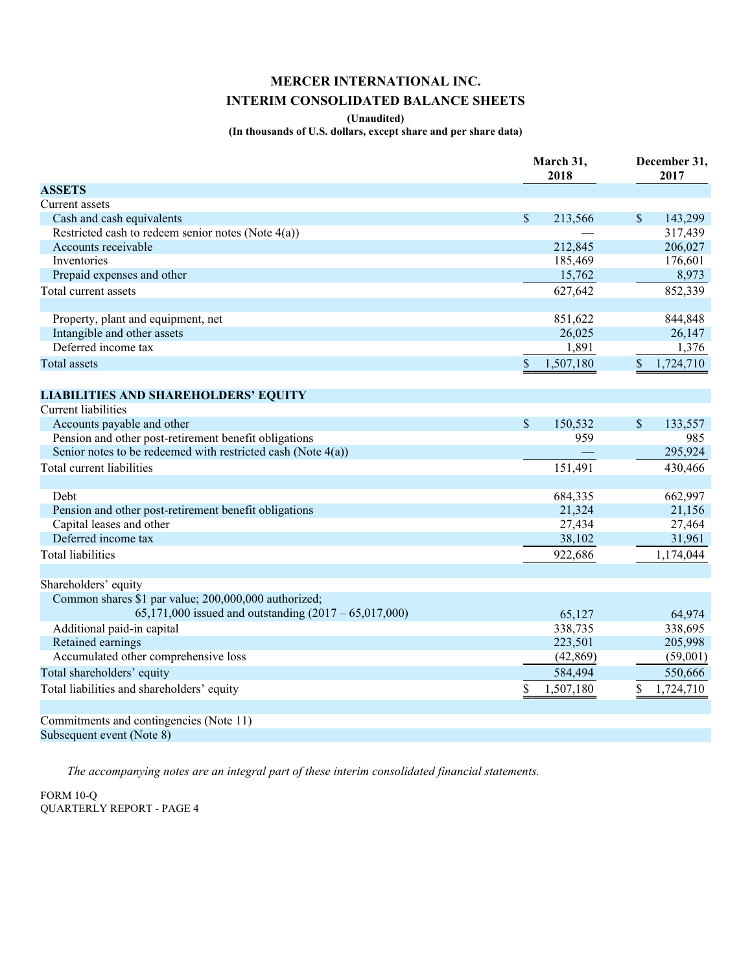### **INTERIM CONSOLIDATED BALANCE SHEETS**

#### **(Unaudited)**

**(In thousands of U.S. dollars, except share and per share data)** 

|                                                                              |              | March 31,<br>2018 |                           | December 31,<br>2017 |  |
|------------------------------------------------------------------------------|--------------|-------------------|---------------------------|----------------------|--|
| <b>ASSETS</b>                                                                |              |                   |                           |                      |  |
| Current assets                                                               |              |                   |                           |                      |  |
| Cash and cash equivalents                                                    | $\mathbb S$  | 213,566           | $\boldsymbol{\mathsf{S}}$ | 143,299              |  |
| Restricted cash to redeem senior notes (Note $4(a)$ )                        |              |                   |                           | 317,439              |  |
| Accounts receivable                                                          |              | 212,845           |                           | 206,027              |  |
| Inventories                                                                  |              | 185,469           |                           | 176,601              |  |
| Prepaid expenses and other                                                   |              | 15,762            |                           | 8,973                |  |
| Total current assets                                                         |              | 627,642           |                           | 852,339              |  |
|                                                                              |              |                   |                           |                      |  |
| Property, plant and equipment, net                                           |              | 851,622           |                           | 844,848              |  |
| Intangible and other assets                                                  |              | 26,025            |                           | 26,147               |  |
| Deferred income tax                                                          |              | 1,891             |                           | 1,376                |  |
| <b>Total assets</b>                                                          | \$           | 1,507,180         | $\boldsymbol{\mathsf{S}}$ | 1,724,710            |  |
|                                                                              |              |                   |                           |                      |  |
| <b>LIABILITIES AND SHAREHOLDERS' EQUITY</b>                                  |              |                   |                           |                      |  |
| <b>Current liabilities</b>                                                   |              |                   |                           |                      |  |
| Accounts payable and other                                                   | $\mathbb{S}$ | 150,532           | $\mathbb{S}$              | 133,557              |  |
| Pension and other post-retirement benefit obligations                        |              | 959               |                           | 985                  |  |
| Senior notes to be redeemed with restricted cash (Note $4(a)$ )              |              |                   |                           | 295,924              |  |
| Total current liabilities                                                    |              | 151,491           |                           | 430,466              |  |
|                                                                              |              |                   |                           |                      |  |
| Debt                                                                         |              | 684,335           |                           | 662,997              |  |
| Pension and other post-retirement benefit obligations                        |              | 21,324            |                           | 21,156               |  |
| Capital leases and other                                                     |              | 27,434            |                           | 27,464               |  |
| Deferred income tax                                                          |              | 38,102            |                           | 31,961               |  |
| <b>Total liabilities</b>                                                     |              | 922,686           |                           | 1,174,044            |  |
|                                                                              |              |                   |                           |                      |  |
| Shareholders' equity<br>Common shares \$1 par value; 200,000,000 authorized; |              |                   |                           |                      |  |
| 65,171,000 issued and outstanding $(2017 - 65,017,000)$                      |              |                   |                           |                      |  |
|                                                                              |              | 65,127            |                           | 64,974               |  |
| Additional paid-in capital                                                   |              | 338,735           |                           | 338,695              |  |
| Retained earnings                                                            |              | 223,501           |                           | 205,998              |  |
| Accumulated other comprehensive loss                                         |              | (42, 869)         |                           | (59,001)             |  |
| Total shareholders' equity                                                   |              | 584,494           |                           | 550,666              |  |
| Total liabilities and shareholders' equity                                   | \$           | 1,507,180         | \$                        | 1,724,710            |  |
|                                                                              |              |                   |                           |                      |  |
| Commitments and contingencies (Note 11)                                      |              |                   |                           |                      |  |
| Subsequent event (Note 8)                                                    |              |                   |                           |                      |  |

*The accompanying notes are an integral part of these interim consolidated financial statements.*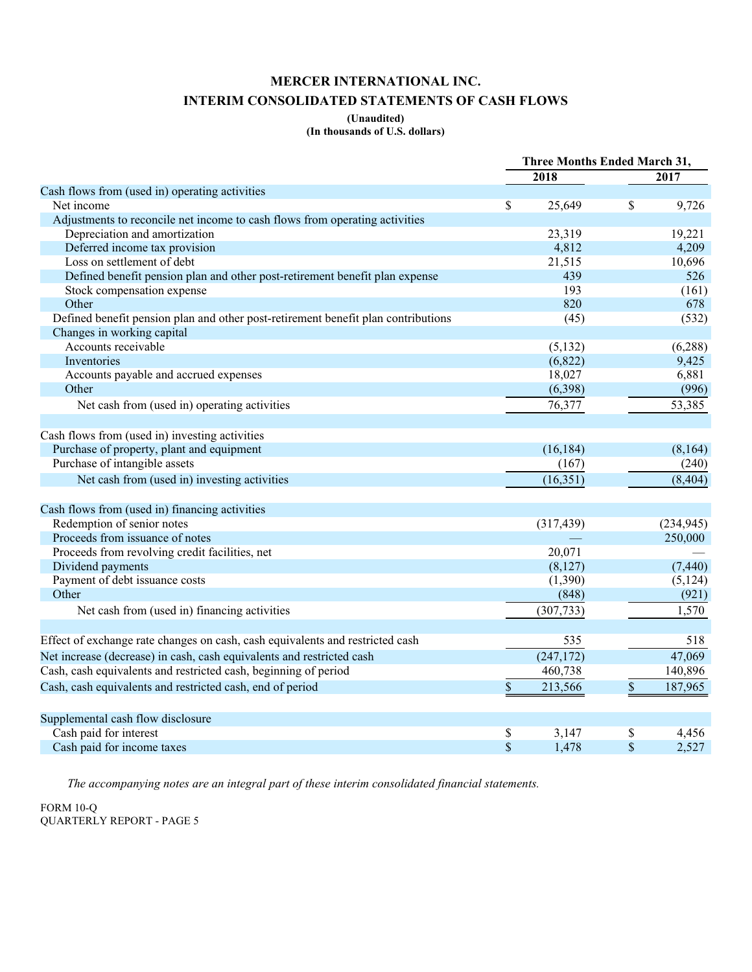# **INTERIM CONSOLIDATED STATEMENTS OF CASH FLOWS**

### **(Unaudited)**

# **(In thousands of U.S. dollars)**

|                                                                                   | <b>Three Months Ended March 31,</b> |            |    |            |
|-----------------------------------------------------------------------------------|-------------------------------------|------------|----|------------|
|                                                                                   |                                     | 2018       |    | 2017       |
| Cash flows from (used in) operating activities                                    |                                     |            |    |            |
| Net income                                                                        | \$                                  | 25,649     | \$ | 9,726      |
| Adjustments to reconcile net income to cash flows from operating activities       |                                     |            |    |            |
| Depreciation and amortization                                                     |                                     | 23,319     |    | 19,221     |
| Deferred income tax provision                                                     |                                     | 4,812      |    | 4,209      |
| Loss on settlement of debt                                                        |                                     | 21,515     |    | 10,696     |
| Defined benefit pension plan and other post-retirement benefit plan expense       |                                     | 439        |    | 526        |
| Stock compensation expense                                                        |                                     | 193        |    | (161)      |
| Other                                                                             |                                     | 820        |    | 678        |
| Defined benefit pension plan and other post-retirement benefit plan contributions |                                     | (45)       |    | (532)      |
| Changes in working capital                                                        |                                     |            |    |            |
| Accounts receivable                                                               |                                     | (5,132)    |    | (6,288)    |
| Inventories                                                                       |                                     | (6,822)    |    | 9,425      |
| Accounts payable and accrued expenses                                             |                                     | 18,027     |    | 6,881      |
| Other                                                                             |                                     | (6,398)    |    | (996)      |
| Net cash from (used in) operating activities                                      |                                     | 76,377     |    | 53,385     |
|                                                                                   |                                     |            |    |            |
| Cash flows from (used in) investing activities                                    |                                     |            |    |            |
| Purchase of property, plant and equipment                                         |                                     | (16, 184)  |    | (8,164)    |
| Purchase of intangible assets                                                     |                                     | (167)      |    | (240)      |
| Net cash from (used in) investing activities                                      |                                     | (16, 351)  |    | (8, 404)   |
|                                                                                   |                                     |            |    |            |
| Cash flows from (used in) financing activities                                    |                                     |            |    |            |
| Redemption of senior notes                                                        |                                     | (317, 439) |    | (234, 945) |
| Proceeds from issuance of notes                                                   |                                     |            |    | 250,000    |
| Proceeds from revolving credit facilities, net                                    |                                     | 20,071     |    |            |
| Dividend payments                                                                 |                                     | (8,127)    |    | (7, 440)   |
| Payment of debt issuance costs                                                    |                                     | (1, 390)   |    | (5, 124)   |
| Other                                                                             |                                     | (848)      |    | (921)      |
| Net cash from (used in) financing activities                                      |                                     | (307, 733) |    | 1,570      |
|                                                                                   |                                     |            |    |            |
|                                                                                   |                                     |            |    |            |
| Effect of exchange rate changes on cash, cash equivalents and restricted cash     |                                     | 535        |    | 518        |
| Net increase (decrease) in cash, cash equivalents and restricted cash             |                                     | (247, 172) |    | 47,069     |
| Cash, cash equivalents and restricted cash, beginning of period                   |                                     | 460,738    |    | 140,896    |
| Cash, cash equivalents and restricted cash, end of period                         | $\$$                                | 213,566    | \$ | 187,965    |
|                                                                                   |                                     |            |    |            |
| Supplemental cash flow disclosure                                                 |                                     |            |    |            |
| Cash paid for interest                                                            | \$                                  | 3,147      | \$ | 4,456      |
| Cash paid for income taxes                                                        | $\mathcal{S}$                       | 1,478      | \$ | 2,527      |

*The accompanying notes are an integral part of these interim consolidated financial statements.*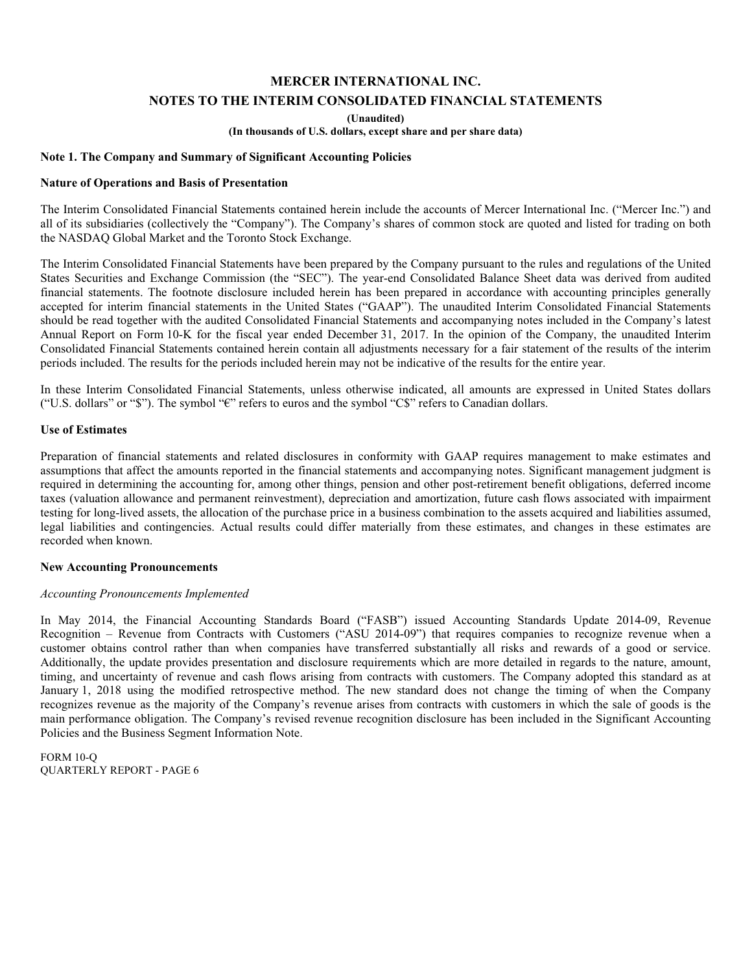**(Unaudited)** 

**(In thousands of U.S. dollars, except share and per share data)** 

#### **Note 1. The Company and Summary of Significant Accounting Policies**

#### **Nature of Operations and Basis of Presentation**

The Interim Consolidated Financial Statements contained herein include the accounts of Mercer International Inc. ("Mercer Inc.") and all of its subsidiaries (collectively the "Company"). The Company's shares of common stock are quoted and listed for trading on both the NASDAQ Global Market and the Toronto Stock Exchange.

The Interim Consolidated Financial Statements have been prepared by the Company pursuant to the rules and regulations of the United States Securities and Exchange Commission (the "SEC"). The year-end Consolidated Balance Sheet data was derived from audited financial statements. The footnote disclosure included herein has been prepared in accordance with accounting principles generally accepted for interim financial statements in the United States ("GAAP"). The unaudited Interim Consolidated Financial Statements should be read together with the audited Consolidated Financial Statements and accompanying notes included in the Company's latest Annual Report on Form 10-K for the fiscal year ended December 31, 2017. In the opinion of the Company, the unaudited Interim Consolidated Financial Statements contained herein contain all adjustments necessary for a fair statement of the results of the interim periods included. The results for the periods included herein may not be indicative of the results for the entire year.

In these Interim Consolidated Financial Statements, unless otherwise indicated, all amounts are expressed in United States dollars ("U.S. dollars" or "\$"). The symbol "€" refers to euros and the symbol "C\$" refers to Canadian dollars.

#### **Use of Estimates**

Preparation of financial statements and related disclosures in conformity with GAAP requires management to make estimates and assumptions that affect the amounts reported in the financial statements and accompanying notes. Significant management judgment is required in determining the accounting for, among other things, pension and other post-retirement benefit obligations, deferred income taxes (valuation allowance and permanent reinvestment), depreciation and amortization, future cash flows associated with impairment testing for long-lived assets, the allocation of the purchase price in a business combination to the assets acquired and liabilities assumed, legal liabilities and contingencies. Actual results could differ materially from these estimates, and changes in these estimates are recorded when known.

#### **New Accounting Pronouncements**

#### *Accounting Pronouncements Implemented*

In May 2014, the Financial Accounting Standards Board ("FASB") issued Accounting Standards Update 2014-09, Revenue Recognition – Revenue from Contracts with Customers ("ASU 2014-09") that requires companies to recognize revenue when a customer obtains control rather than when companies have transferred substantially all risks and rewards of a good or service. Additionally, the update provides presentation and disclosure requirements which are more detailed in regards to the nature, amount, timing, and uncertainty of revenue and cash flows arising from contracts with customers. The Company adopted this standard as at January 1, 2018 using the modified retrospective method. The new standard does not change the timing of when the Company recognizes revenue as the majority of the Company's revenue arises from contracts with customers in which the sale of goods is the main performance obligation. The Company's revised revenue recognition disclosure has been included in the Significant Accounting Policies and the Business Segment Information Note.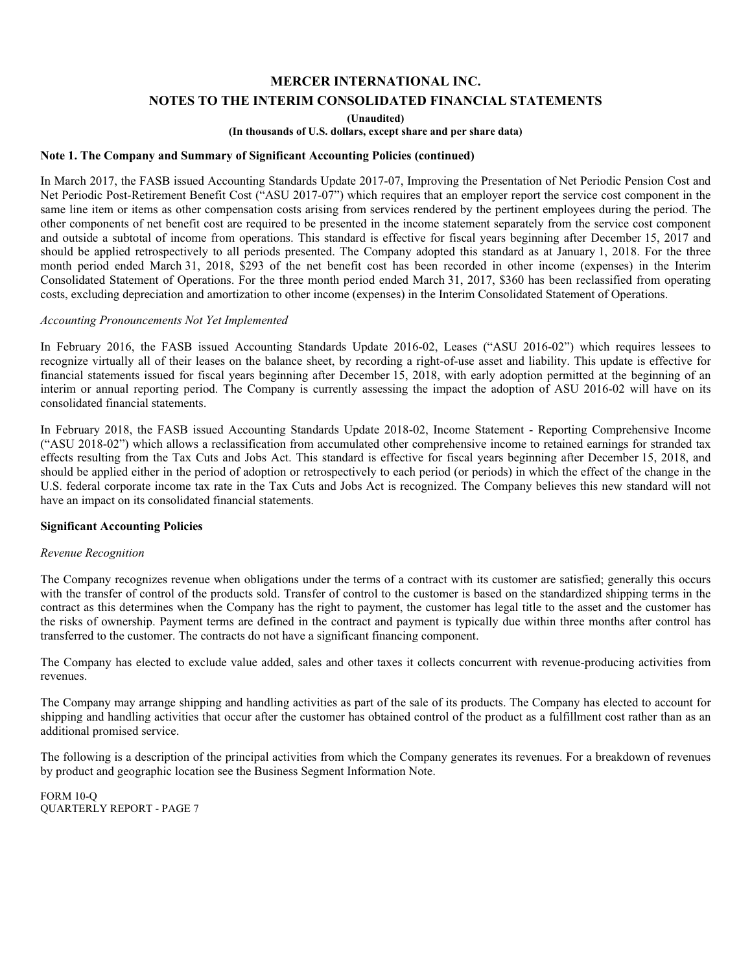**(Unaudited)** 

**(In thousands of U.S. dollars, except share and per share data)** 

#### **Note 1. The Company and Summary of Significant Accounting Policies (continued)**

In March 2017, the FASB issued Accounting Standards Update 2017-07, Improving the Presentation of Net Periodic Pension Cost and Net Periodic Post-Retirement Benefit Cost ("ASU 2017-07") which requires that an employer report the service cost component in the same line item or items as other compensation costs arising from services rendered by the pertinent employees during the period. The other components of net benefit cost are required to be presented in the income statement separately from the service cost component and outside a subtotal of income from operations. This standard is effective for fiscal years beginning after December 15, 2017 and should be applied retrospectively to all periods presented. The Company adopted this standard as at January 1, 2018. For the three month period ended March 31, 2018, \$293 of the net benefit cost has been recorded in other income (expenses) in the Interim Consolidated Statement of Operations. For the three month period ended March 31, 2017, \$360 has been reclassified from operating costs, excluding depreciation and amortization to other income (expenses) in the Interim Consolidated Statement of Operations.

#### *Accounting Pronouncements Not Yet Implemented*

In February 2016, the FASB issued Accounting Standards Update 2016-02, Leases ("ASU 2016-02") which requires lessees to recognize virtually all of their leases on the balance sheet, by recording a right-of-use asset and liability. This update is effective for financial statements issued for fiscal years beginning after December 15, 2018, with early adoption permitted at the beginning of an interim or annual reporting period. The Company is currently assessing the impact the adoption of ASU 2016-02 will have on its consolidated financial statements.

In February 2018, the FASB issued Accounting Standards Update 2018-02, Income Statement - Reporting Comprehensive Income ("ASU 2018-02") which allows a reclassification from accumulated other comprehensive income to retained earnings for stranded tax effects resulting from the Tax Cuts and Jobs Act. This standard is effective for fiscal years beginning after December 15, 2018, and should be applied either in the period of adoption or retrospectively to each period (or periods) in which the effect of the change in the U.S. federal corporate income tax rate in the Tax Cuts and Jobs Act is recognized. The Company believes this new standard will not have an impact on its consolidated financial statements.

#### **Significant Accounting Policies**

#### *Revenue Recognition*

The Company recognizes revenue when obligations under the terms of a contract with its customer are satisfied; generally this occurs with the transfer of control of the products sold. Transfer of control to the customer is based on the standardized shipping terms in the contract as this determines when the Company has the right to payment, the customer has legal title to the asset and the customer has the risks of ownership. Payment terms are defined in the contract and payment is typically due within three months after control has transferred to the customer. The contracts do not have a significant financing component.

The Company has elected to exclude value added, sales and other taxes it collects concurrent with revenue-producing activities from revenues.

The Company may arrange shipping and handling activities as part of the sale of its products. The Company has elected to account for shipping and handling activities that occur after the customer has obtained control of the product as a fulfillment cost rather than as an additional promised service.

The following is a description of the principal activities from which the Company generates its revenues. For a breakdown of revenues by product and geographic location see the Business Segment Information Note.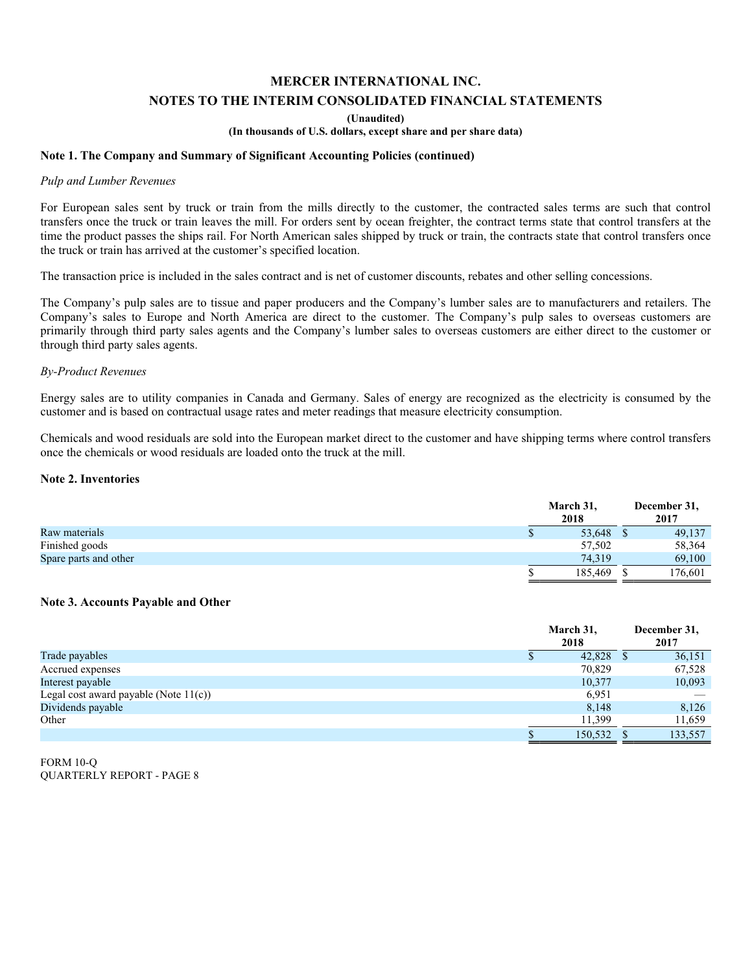**(Unaudited)** 

**(In thousands of U.S. dollars, except share and per share data)** 

### **Note 1. The Company and Summary of Significant Accounting Policies (continued)**

#### *Pulp and Lumber Revenues*

For European sales sent by truck or train from the mills directly to the customer, the contracted sales terms are such that control transfers once the truck or train leaves the mill. For orders sent by ocean freighter, the contract terms state that control transfers at the time the product passes the ships rail. For North American sales shipped by truck or train, the contracts state that control transfers once the truck or train has arrived at the customer's specified location.

The transaction price is included in the sales contract and is net of customer discounts, rebates and other selling concessions.

The Company's pulp sales are to tissue and paper producers and the Company's lumber sales are to manufacturers and retailers. The Company's sales to Europe and North America are direct to the customer. The Company's pulp sales to overseas customers are primarily through third party sales agents and the Company's lumber sales to overseas customers are either direct to the customer or through third party sales agents.

#### *By-Product Revenues*

Energy sales are to utility companies in Canada and Germany. Sales of energy are recognized as the electricity is consumed by the customer and is based on contractual usage rates and meter readings that measure electricity consumption.

Chemicals and wood residuals are sold into the European market direct to the customer and have shipping terms where control transfers once the chemicals or wood residuals are loaded onto the truck at the mill.

#### **Note 2. Inventories**

|                       |    | March 31,<br>2018 | December 31,<br>2017 |
|-----------------------|----|-------------------|----------------------|
| Raw materials         | N) | 53,648            | 49,137               |
| Finished goods        |    | 57,502            | 58,364               |
| Spare parts and other |    | 74.319            | 69,100               |
|                       |    | 185,469           | 176.601              |

#### **Note 3. Accounts Payable and Other**

|                                          | March 31,<br>2018 | December 31,<br>2017 |
|------------------------------------------|-------------------|----------------------|
| Trade payables                           | 42,828            | 36,151               |
| Accrued expenses                         | 70,829            | 67,528               |
| Interest payable                         | 10,377            | 10,093               |
| Legal cost award payable (Note $11(c)$ ) | 6,951             |                      |
| Dividends payable                        | 8,148             | 8,126                |
| Other                                    | 11,399            | 11,659               |
|                                          | 150,532           | 133,557              |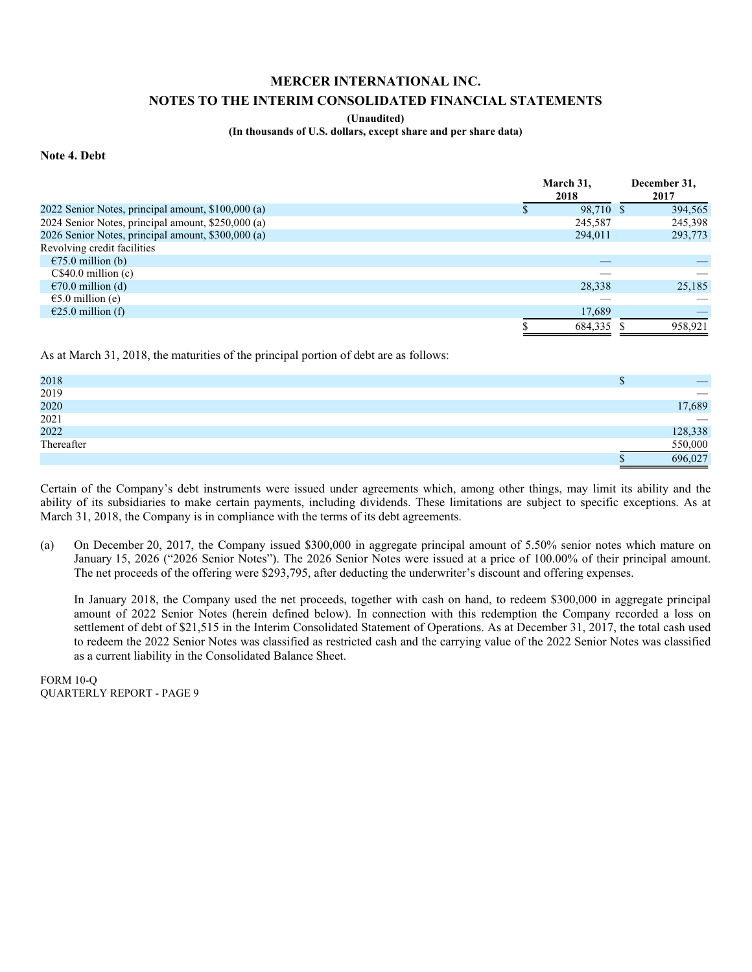### **NOTES TO THE INTERIM CONSOLIDATED FINANCIAL STATEMENTS**

#### **(Unaudited)**

### **(In thousands of U.S. dollars, except share and per share data)**

**Note 4. Debt** 

|                                                    | March 31,<br>2018 | December 31,<br>2017 |
|----------------------------------------------------|-------------------|----------------------|
| 2022 Senior Notes, principal amount, \$100,000 (a) | 98.710 \$         | 394,565              |
| 2024 Senior Notes, principal amount, \$250,000 (a) | 245,587           | 245,398              |
| 2026 Senior Notes, principal amount, \$300,000 (a) | 294,011           | 293,773              |
| Revolving credit facilities                        |                   |                      |
| $\epsilon$ 75.0 million (b)                        |                   |                      |
| C\$40.0 million(c)                                 |                   |                      |
| $\epsilon$ 70.0 million (d)                        | 28,338            | 25,185               |
| $\epsilon$ 5.0 million (e)                         |                   |                      |
| $\epsilon$ 25.0 million (f)                        | 17,689            |                      |
|                                                    | 684,335           | 958,921              |

As at March 31, 2018, the maturities of the principal portion of debt are as follows:

| 2018       | Φ | $-$                             |
|------------|---|---------------------------------|
| 2019       |   | $\hspace{0.1mm}-\hspace{0.1mm}$ |
| 2020       |   | 17,689                          |
| 2021       |   | $\hspace{0.1mm}-\hspace{0.1mm}$ |
| 2022       |   | 128,338<br>550,000              |
| Thereafter |   |                                 |
|            |   | 696,027                         |

Certain of the Company's debt instruments were issued under agreements which, among other things, may limit its ability and the ability of its subsidiaries to make certain payments, including dividends. These limitations are subject to specific exceptions. As at March 31, 2018, the Company is in compliance with the terms of its debt agreements.

(a) On December 20, 2017, the Company issued \$300,000 in aggregate principal amount of 5.50% senior notes which mature on January 15, 2026 ("2026 Senior Notes"). The 2026 Senior Notes were issued at a price of 100.00% of their principal amount. The net proceeds of the offering were \$293,795, after deducting the underwriter's discount and offering expenses.

In January 2018, the Company used the net proceeds, together with cash on hand, to redeem \$300,000 in aggregate principal amount of 2022 Senior Notes (herein defined below). In connection with this redemption the Company recorded a loss on settlement of debt of \$21,515 in the Interim Consolidated Statement of Operations. As at December 31, 2017, the total cash used to redeem the 2022 Senior Notes was classified as restricted cash and the carrying value of the 2022 Senior Notes was classified as a current liability in the Consolidated Balance Sheet.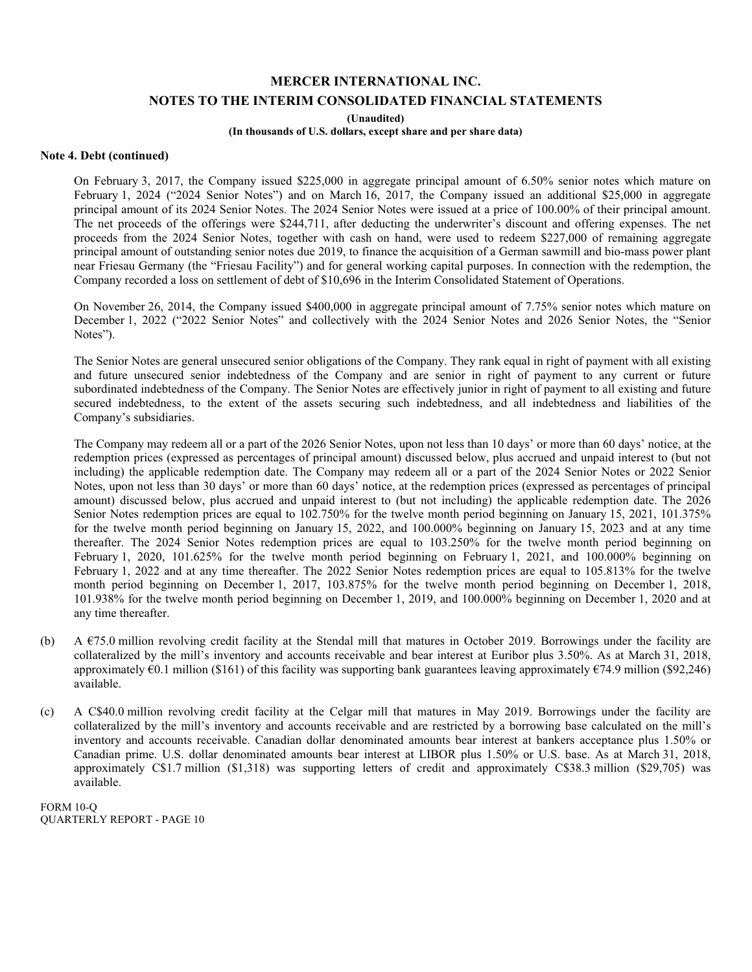**(Unaudited)** 

### **(In thousands of U.S. dollars, except share and per share data)**

#### **Note 4. Debt (continued)**

On February 3, 2017, the Company issued \$225,000 in aggregate principal amount of 6.50% senior notes which mature on February 1, 2024 ("2024 Senior Notes") and on March 16, 2017, the Company issued an additional \$25,000 in aggregate principal amount of its 2024 Senior Notes. The 2024 Senior Notes were issued at a price of 100.00% of their principal amount. The net proceeds of the offerings were \$244,711, after deducting the underwriter's discount and offering expenses. The net proceeds from the 2024 Senior Notes, together with cash on hand, were used to redeem \$227,000 of remaining aggregate principal amount of outstanding senior notes due 2019, to finance the acquisition of a German sawmill and bio-mass power plant near Friesau Germany (the "Friesau Facility") and for general working capital purposes. In connection with the redemption, the Company recorded a loss on settlement of debt of \$10,696 in the Interim Consolidated Statement of Operations.

On November 26, 2014, the Company issued \$400,000 in aggregate principal amount of 7.75% senior notes which mature on December 1, 2022 ("2022 Senior Notes" and collectively with the 2024 Senior Notes and 2026 Senior Notes, the "Senior Notes").

The Senior Notes are general unsecured senior obligations of the Company. They rank equal in right of payment with all existing and future unsecured senior indebtedness of the Company and are senior in right of payment to any current or future subordinated indebtedness of the Company. The Senior Notes are effectively junior in right of payment to all existing and future secured indebtedness, to the extent of the assets securing such indebtedness, and all indebtedness and liabilities of the Company's subsidiaries.

The Company may redeem all or a part of the 2026 Senior Notes, upon not less than 10 days' or more than 60 days' notice, at the redemption prices (expressed as percentages of principal amount) discussed below, plus accrued and unpaid interest to (but not including) the applicable redemption date. The Company may redeem all or a part of the 2024 Senior Notes or 2022 Senior Notes, upon not less than 30 days' or more than 60 days' notice, at the redemption prices (expressed as percentages of principal amount) discussed below, plus accrued and unpaid interest to (but not including) the applicable redemption date. The 2026 Senior Notes redemption prices are equal to 102.750% for the twelve month period beginning on January 15, 2021, 101.375% for the twelve month period beginning on January 15, 2022, and 100.000% beginning on January 15, 2023 and at any time thereafter. The 2024 Senior Notes redemption prices are equal to 103.250% for the twelve month period beginning on February 1, 2020, 101.625% for the twelve month period beginning on February 1, 2021, and 100.000% beginning on February 1, 2022 and at any time thereafter. The 2022 Senior Notes redemption prices are equal to 105.813% for the twelve month period beginning on December 1, 2017, 103.875% for the twelve month period beginning on December 1, 2018, 101.938% for the twelve month period beginning on December 1, 2019, and 100.000% beginning on December 1, 2020 and at any time thereafter.

- (b) A €75.0 million revolving credit facility at the Stendal mill that matures in October 2019. Borrowings under the facility are collateralized by the mill's inventory and accounts receivable and bear interest at Euribor plus 3.50%. As at March 31, 2018, approximately  $60.1$  million (\$161) of this facility was supporting bank guarantees leaving approximately  $674.9$  million (\$92,246) available.
- (c) A C\$40.0 million revolving credit facility at the Celgar mill that matures in May 2019. Borrowings under the facility are collateralized by the mill's inventory and accounts receivable and are restricted by a borrowing base calculated on the mill's inventory and accounts receivable. Canadian dollar denominated amounts bear interest at bankers acceptance plus 1.50% or Canadian prime. U.S. dollar denominated amounts bear interest at LIBOR plus 1.50% or U.S. base. As at March 31, 2018, approximately C\$1.7 million (\$1,318) was supporting letters of credit and approximately C\$38.3 million (\$29,705) was available.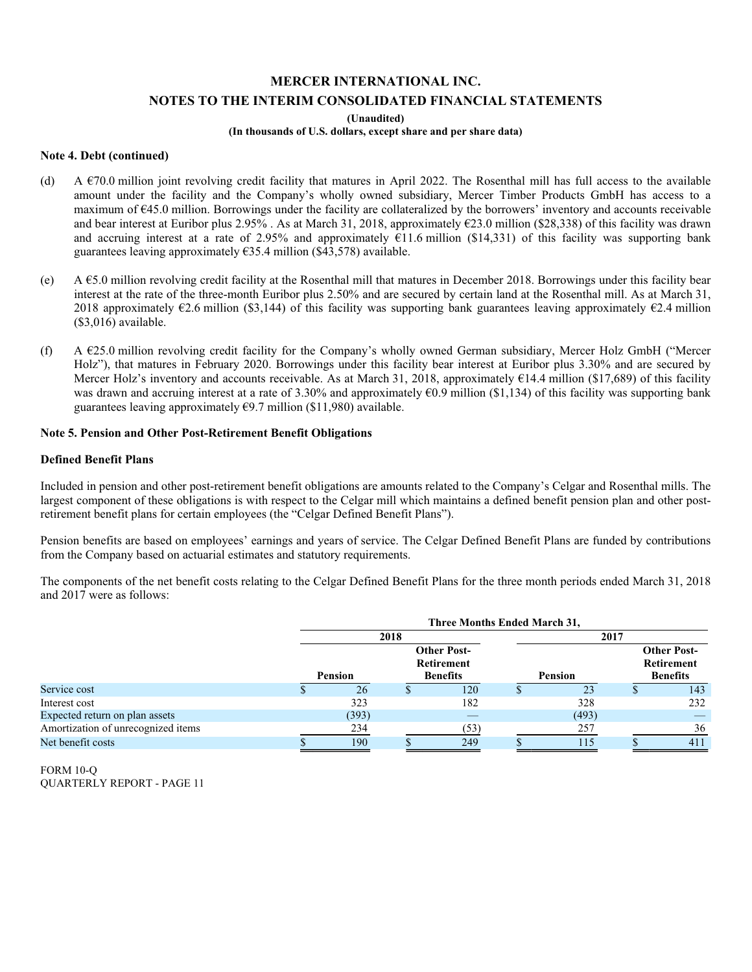#### **NOTES TO THE INTERIM CONSOLIDATED FINANCIAL STATEMENTS**

#### **(Unaudited)**

#### **(In thousands of U.S. dollars, except share and per share data)**

#### **Note 4. Debt (continued)**

- (d) A €70.0 million joint revolving credit facility that matures in April 2022. The Rosenthal mill has full access to the available amount under the facility and the Company's wholly owned subsidiary, Mercer Timber Products GmbH has access to a maximum of €45.0 million. Borrowings under the facility are collateralized by the borrowers' inventory and accounts receivable and bear interest at Euribor plus 2.95%. As at March 31, 2018, approximately  $\epsilon$ 23.0 million (\$28,338) of this facility was drawn and accruing interest at a rate of 2.95% and approximately  $E$ 11.6 million (\$14,331) of this facility was supporting bank guarantees leaving approximately €35.4 million (\$43,578) available.
- (e) A €5.0 million revolving credit facility at the Rosenthal mill that matures in December 2018. Borrowings under this facility bear interest at the rate of the three-month Euribor plus 2.50% and are secured by certain land at the Rosenthal mill. As at March 31, 2018 approximately  $\epsilon$ 2.6 million (\$3,144) of this facility was supporting bank guarantees leaving approximately  $\epsilon$ 2.4 million (\$3,016) available.
- (f) A €25.0 million revolving credit facility for the Company's wholly owned German subsidiary, Mercer Holz GmbH ("Mercer Holz"), that matures in February 2020. Borrowings under this facility bear interest at Euribor plus 3.30% and are secured by Mercer Holz's inventory and accounts receivable. As at March 31, 2018, approximately  $614.4$  million (\$17,689) of this facility was drawn and accruing interest at a rate of 3.30% and approximately  $\epsilon$ 0.9 million (\$1,134) of this facility was supporting bank guarantees leaving approximately  $\epsilon$ 9.7 million (\$11,980) available.

#### **Note 5. Pension and Other Post-Retirement Benefit Obligations**

#### **Defined Benefit Plans**

Included in pension and other post-retirement benefit obligations are amounts related to the Company's Celgar and Rosenthal mills. The largest component of these obligations is with respect to the Celgar mill which maintains a defined benefit pension plan and other postretirement benefit plans for certain employees (the "Celgar Defined Benefit Plans").

Pension benefits are based on employees' earnings and years of service. The Celgar Defined Benefit Plans are funded by contributions from the Company based on actuarial estimates and statutory requirements.

The components of the net benefit costs relating to the Celgar Defined Benefit Plans for the three month periods ended March 31, 2018 and 2017 were as follows:

|                                    |         |      | Three Months Ended March 31,                               |                |                                                            |
|------------------------------------|---------|------|------------------------------------------------------------|----------------|------------------------------------------------------------|
|                                    |         | 2018 |                                                            | 2017           |                                                            |
|                                    | Pension |      | <b>Other Post-</b><br><b>Retirement</b><br><b>Benefits</b> | <b>Pension</b> | <b>Other Post-</b><br><b>Retirement</b><br><b>Benefits</b> |
| Service cost                       | 26      |      | 120                                                        | 23             | 143                                                        |
| Interest cost                      | 323     |      | 182                                                        | 328            | 232                                                        |
| Expected return on plan assets     | (393)   |      | __                                                         | (493)          |                                                            |
| Amortization of unrecognized items | 234     |      | (53)                                                       | 257            | 36                                                         |
| Net benefit costs                  | 190     |      | 249                                                        | 115            | 411                                                        |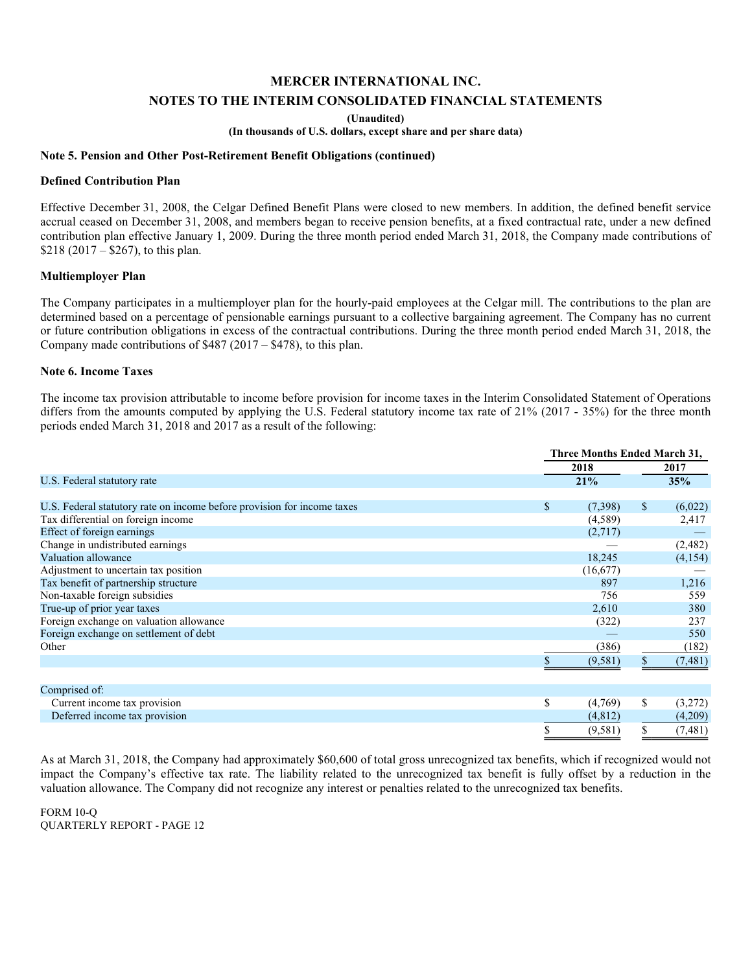**(Unaudited)** 

**(In thousands of U.S. dollars, except share and per share data)** 

#### **Note 5. Pension and Other Post-Retirement Benefit Obligations (continued)**

#### **Defined Contribution Plan**

Effective December 31, 2008, the Celgar Defined Benefit Plans were closed to new members. In addition, the defined benefit service accrual ceased on December 31, 2008, and members began to receive pension benefits, at a fixed contractual rate, under a new defined contribution plan effective January 1, 2009. During the three month period ended March 31, 2018, the Company made contributions of  $$218 (2017 - $267)$ , to this plan.

#### **Multiemployer Plan**

The Company participates in a multiemployer plan for the hourly-paid employees at the Celgar mill. The contributions to the plan are determined based on a percentage of pensionable earnings pursuant to a collective bargaining agreement. The Company has no current or future contribution obligations in excess of the contractual contributions. During the three month period ended March 31, 2018, the Company made contributions of \$487 (2017 – \$478), to this plan.

#### **Note 6. Income Taxes**

The income tax provision attributable to income before provision for income taxes in the Interim Consolidated Statement of Operations differs from the amounts computed by applying the U.S. Federal statutory income tax rate of 21% (2017 - 35%) for the three month periods ended March 31, 2018 and 2017 as a result of the following:

|                                                                         |              | Three Months Ended March 31, |              |          |
|-------------------------------------------------------------------------|--------------|------------------------------|--------------|----------|
|                                                                         |              | 2018                         |              | 2017     |
| U.S. Federal statutory rate                                             |              | 21%                          |              | 35%      |
| U.S. Federal statutory rate on income before provision for income taxes | $\mathbb{S}$ | (7,398)                      | $\mathbb{S}$ | (6,022)  |
| Tax differential on foreign income                                      |              | (4,589)                      |              | 2,417    |
| Effect of foreign earnings                                              |              | (2,717)                      |              |          |
| Change in undistributed earnings                                        |              |                              |              | (2,482)  |
| Valuation allowance                                                     |              | 18,245                       |              | (4,154)  |
| Adjustment to uncertain tax position                                    |              | (16,677)                     |              |          |
| Tax benefit of partnership structure                                    |              | 897                          |              | 1,216    |
| Non-taxable foreign subsidies                                           |              | 756                          |              | 559      |
| True-up of prior year taxes                                             |              | 2,610                        |              | 380      |
| Foreign exchange on valuation allowance                                 |              | (322)                        |              | 237      |
| Foreign exchange on settlement of debt                                  |              |                              |              | 550      |
| Other                                                                   |              | (386)                        |              | (182)    |
|                                                                         |              | (9,581)                      |              | (7, 481) |
|                                                                         |              |                              |              |          |
| Comprised of:                                                           |              |                              |              |          |
| Current income tax provision                                            | \$           | (4,769)                      | \$           | (3,272)  |
| Deferred income tax provision                                           |              | (4,812)                      |              | (4,209)  |
|                                                                         |              | (9,581)                      | \$           | (7,481)  |

As at March 31, 2018, the Company had approximately \$60,600 of total gross unrecognized tax benefits, which if recognized would not impact the Company's effective tax rate. The liability related to the unrecognized tax benefit is fully offset by a reduction in the valuation allowance. The Company did not recognize any interest or penalties related to the unrecognized tax benefits.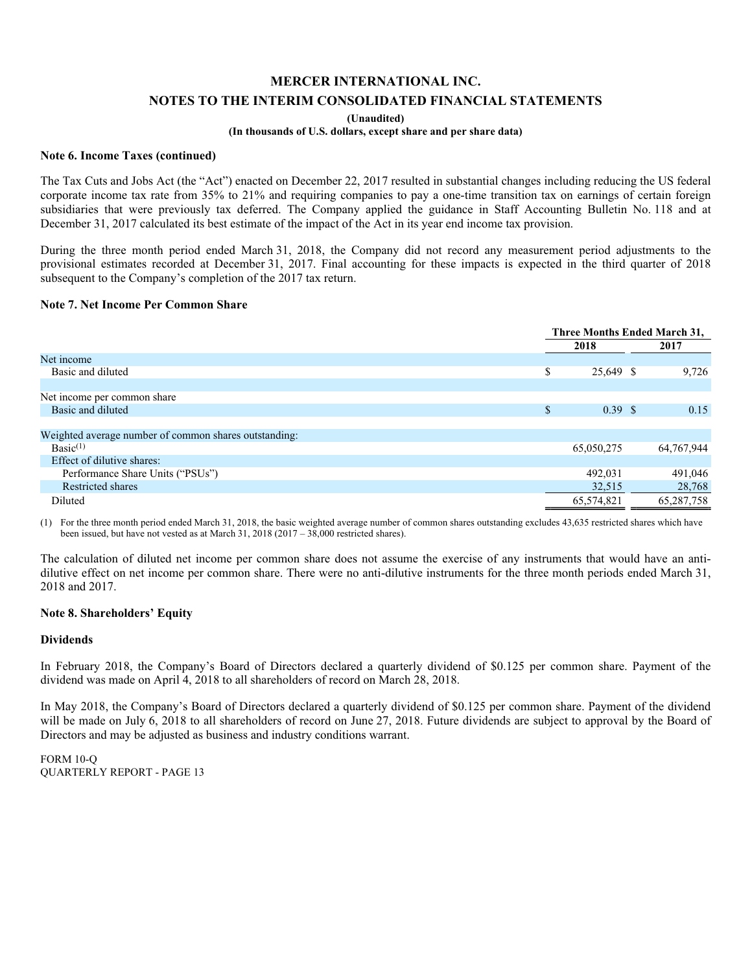**(Unaudited)** 

### **(In thousands of U.S. dollars, except share and per share data)**

#### **Note 6. Income Taxes (continued)**

The Tax Cuts and Jobs Act (the "Act") enacted on December 22, 2017 resulted in substantial changes including reducing the US federal corporate income tax rate from 35% to 21% and requiring companies to pay a one-time transition tax on earnings of certain foreign subsidiaries that were previously tax deferred. The Company applied the guidance in Staff Accounting Bulletin No. 118 and at December 31, 2017 calculated its best estimate of the impact of the Act in its year end income tax provision.

During the three month period ended March 31, 2018, the Company did not record any measurement period adjustments to the provisional estimates recorded at December 31, 2017. Final accounting for these impacts is expected in the third quarter of 2018 subsequent to the Company's completion of the 2017 tax return.

#### **Note 7. Net Income Per Common Share**

|                                                       |   | Three Months Ended March 31, |  |            |  |
|-------------------------------------------------------|---|------------------------------|--|------------|--|
|                                                       |   | 2018                         |  | 2017       |  |
| Net income                                            |   |                              |  |            |  |
| Basic and diluted                                     | S | 25,649 \$                    |  | 9,726      |  |
|                                                       |   |                              |  |            |  |
| Net income per common share                           |   |                              |  |            |  |
| Basic and diluted                                     | S | 0.39 S                       |  | 0.15       |  |
|                                                       |   |                              |  |            |  |
| Weighted average number of common shares outstanding: |   |                              |  |            |  |
| Basic <sup>(1)</sup>                                  |   | 65,050,275                   |  | 64,767,944 |  |
| Effect of dilutive shares:                            |   |                              |  |            |  |
| Performance Share Units ("PSUs")                      |   | 492,031                      |  | 491,046    |  |
| Restricted shares                                     |   | 32,515                       |  | 28,768     |  |
| Diluted                                               |   | 65,574,821                   |  | 65,287,758 |  |

(1) For the three month period ended March 31, 2018, the basic weighted average number of common shares outstanding excludes 43,635 restricted shares which have been issued, but have not vested as at March 31, 2018 (2017 – 38,000 restricted shares).

The calculation of diluted net income per common share does not assume the exercise of any instruments that would have an antidilutive effect on net income per common share. There were no anti-dilutive instruments for the three month periods ended March 31, 2018 and 2017.

#### **Note 8. Shareholders' Equity**

#### **Dividends**

In February 2018, the Company's Board of Directors declared a quarterly dividend of \$0.125 per common share. Payment of the dividend was made on April 4, 2018 to all shareholders of record on March 28, 2018.

In May 2018, the Company's Board of Directors declared a quarterly dividend of \$0.125 per common share. Payment of the dividend will be made on July 6, 2018 to all shareholders of record on June 27, 2018. Future dividends are subject to approval by the Board of Directors and may be adjusted as business and industry conditions warrant.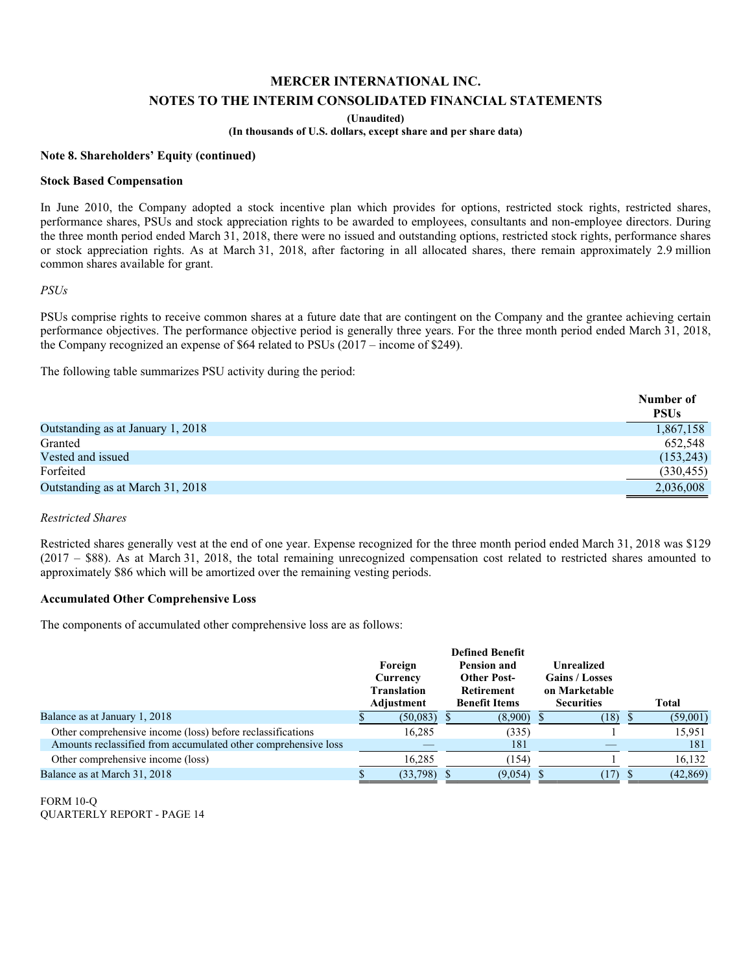#### **NOTES TO THE INTERIM CONSOLIDATED FINANCIAL STATEMENTS**

**(Unaudited)** 

**(In thousands of U.S. dollars, except share and per share data)** 

#### **Note 8. Shareholders' Equity (continued)**

#### **Stock Based Compensation**

In June 2010, the Company adopted a stock incentive plan which provides for options, restricted stock rights, restricted shares, performance shares, PSUs and stock appreciation rights to be awarded to employees, consultants and non-employee directors. During the three month period ended March 31, 2018, there were no issued and outstanding options, restricted stock rights, performance shares or stock appreciation rights. As at March 31, 2018, after factoring in all allocated shares, there remain approximately 2.9 million common shares available for grant.

#### *PSUs*

PSUs comprise rights to receive common shares at a future date that are contingent on the Company and the grantee achieving certain performance objectives. The performance objective period is generally three years. For the three month period ended March 31, 2018, the Company recognized an expense of \$64 related to PSUs (2017 – income of \$249).

The following table summarizes PSU activity during the period:

|                                   | Number of   |
|-----------------------------------|-------------|
|                                   | <b>PSUs</b> |
| Outstanding as at January 1, 2018 | 1,867,158   |
| Granted                           | 652.548     |
| Vested and issued                 | (153,243)   |
| Forfeited                         | (330, 455)  |
| Outstanding as at March 31, 2018  | 2,036,008   |
|                                   |             |

#### *Restricted Shares*

Restricted shares generally vest at the end of one year. Expense recognized for the three month period ended March 31, 2018 was \$129 (2017 – \$88). As at March 31, 2018, the total remaining unrecognized compensation cost related to restricted shares amounted to approximately \$86 which will be amortized over the remaining vesting periods.

#### **Accumulated Other Comprehensive Loss**

The components of accumulated other comprehensive loss are as follows:

|                                                                | Foreign<br>Currency<br><b>Translation</b><br>Adjustment | <b>Defined Benefit</b><br><b>Pension and</b><br><b>Other Post-</b><br><b>Retirement</b><br><b>Benefit Items</b> | <b>Unrealized</b><br><b>Gains / Losses</b><br>on Marketable<br><b>Securities</b> | Total     |
|----------------------------------------------------------------|---------------------------------------------------------|-----------------------------------------------------------------------------------------------------------------|----------------------------------------------------------------------------------|-----------|
| Balance as at January 1, 2018                                  | (50,083)                                                | (8,900)                                                                                                         | (18)                                                                             | (59,001)  |
| Other comprehensive income (loss) before reclassifications     | 16,285                                                  | (335)                                                                                                           |                                                                                  | 15,951    |
| Amounts reclassified from accumulated other comprehensive loss |                                                         | 181                                                                                                             |                                                                                  | 181       |
| Other comprehensive income (loss)                              | 16,285                                                  | (154)                                                                                                           |                                                                                  | 16,132    |
| Balance as at March 31, 2018                                   | (33,798)                                                | $(9,054)$ \$                                                                                                    | (17)                                                                             | (42, 869) |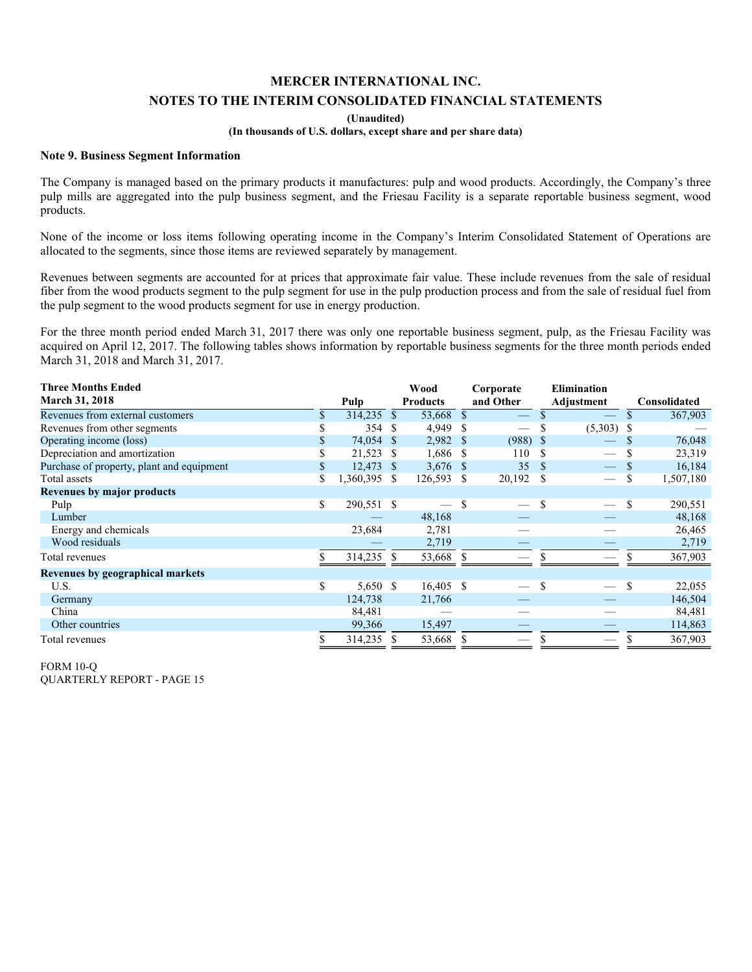**(Unaudited)** 

### **(In thousands of U.S. dollars, except share and per share data)**

#### **Note 9. Business Segment Information**

The Company is managed based on the primary products it manufactures: pulp and wood products. Accordingly, the Company's three pulp mills are aggregated into the pulp business segment, and the Friesau Facility is a separate reportable business segment, wood products.

None of the income or loss items following operating income in the Company's Interim Consolidated Statement of Operations are allocated to the segments, since those items are reviewed separately by management.

Revenues between segments are accounted for at prices that approximate fair value. These include revenues from the sale of residual fiber from the wood products segment to the pulp segment for use in the pulp production process and from the sale of residual fuel from the pulp segment to the wood products segment for use in energy production.

For the three month period ended March 31, 2017 there was only one reportable business segment, pulp, as the Friesau Facility was acquired on April 12, 2017. The following tables shows information by reportable business segments for the three month periods ended March 31, 2018 and March 31, 2017.

| <b>Three Months Ended</b>                 |    |            |               | Wood            |               | Corporate   |               | <b>Elimination</b> |              |              |
|-------------------------------------------|----|------------|---------------|-----------------|---------------|-------------|---------------|--------------------|--------------|--------------|
| <b>March 31, 2018</b>                     |    | Pulp       |               | <b>Products</b> |               | and Other   |               | Adjustment         |              | Consolidated |
| Revenues from external customers          | \$ | 314,235 \$ |               | 53,668          | <sup>\$</sup> |             |               |                    | S.           | 367,903      |
| Revenues from other segments              | S  | 354        | -S            | 4,949           | S             |             | \$            | $(5,303)$ \$       |              |              |
| Operating income (loss)                   | \$ | 74,054     | <sup>\$</sup> | 2,982           | <sup>S</sup>  | $(988)$ \$  |               |                    |              | 76,048       |
| Depreciation and amortization             | \$ | 21,523     | <sup>\$</sup> | 1,686           | <sup>\$</sup> | 110         | <sup>\$</sup> |                    |              | 23,319       |
| Purchase of property, plant and equipment | \$ | 12,473     | -\$           | 3,676 \$        |               | 35          | -S            |                    |              | 16,184       |
| Total assets                              | \$ | 1,360,395  | <sup>S</sup>  | 126,593         | <sup>\$</sup> | $20,192$ \$ |               |                    | \$           | 1,507,180    |
| Revenues by major products                |    |            |               |                 |               |             |               |                    |              |              |
| Pulp                                      | \$ | 290,551 \$ |               |                 | \$            |             | S             |                    | <sup>S</sup> | 290,551      |
| Lumber                                    |    |            |               | 48,168          |               |             |               |                    |              | 48,168       |
| Energy and chemicals                      |    | 23,684     |               | 2,781           |               |             |               |                    |              | 26,465       |
| Wood residuals                            |    |            |               | 2,719           |               |             |               |                    |              | 2,719        |
| Total revenues                            |    | 314,235    | <sup>\$</sup> | 53,668          | \$.           |             |               |                    |              | 367,903      |
| Revenues by geographical markets          |    |            |               |                 |               |             |               |                    |              |              |
| U.S.                                      | \$ | 5,650 \$   |               | $16,405$ \$     |               |             | \$            |                    | \$           | 22,055       |
| Germany                                   |    | 124,738    |               | 21,766          |               |             |               |                    |              | 146,504      |
| China                                     |    | 84,481     |               |                 |               |             |               |                    |              | 84,481       |
| Other countries                           |    | 99,366     |               | 15,497          |               |             |               |                    |              | 114,863      |
| Total revenues                            |    | 314,235    | \$.           | 53,668          | <b>S</b>      |             |               |                    |              | 367,903      |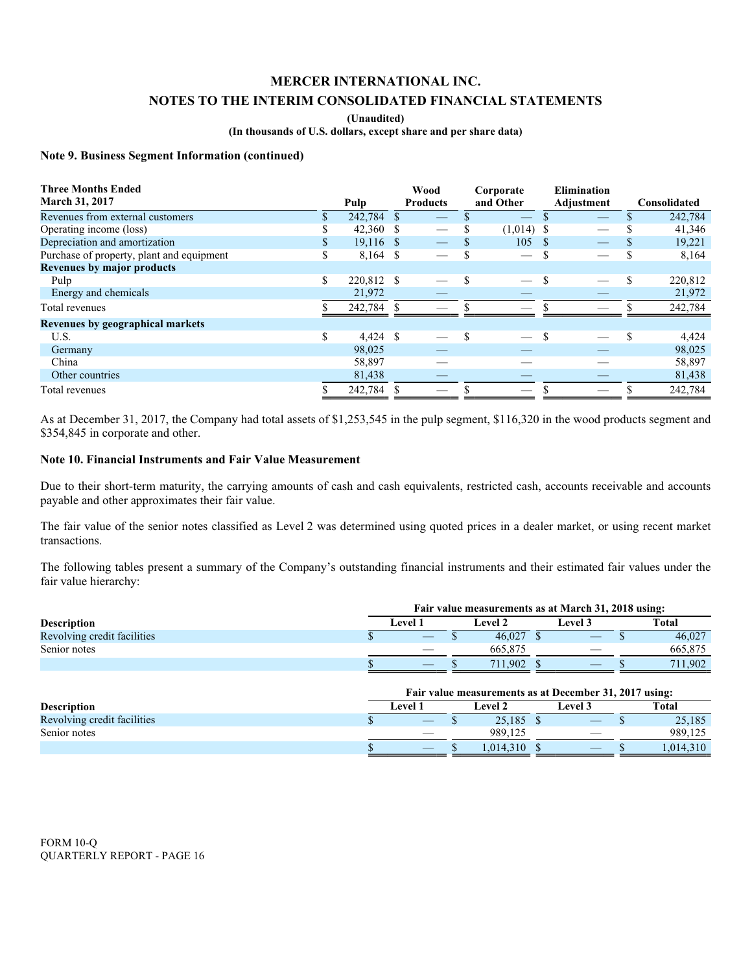### **NOTES TO THE INTERIM CONSOLIDATED FINANCIAL STATEMENTS**

**(Unaudited)** 

**(In thousands of U.S. dollars, except share and per share data)** 

#### **Note 9. Business Segment Information (continued)**

| <b>Three Months Ended</b>                 |     |             | Wood                          |               | Corporate                |    | <b>Elimination</b> |     |              |
|-------------------------------------------|-----|-------------|-------------------------------|---------------|--------------------------|----|--------------------|-----|--------------|
| <b>March 31, 2017</b>                     |     | Pulp        | <b>Products</b>               |               | and Other                |    | Adjustment         |     | Consolidated |
| Revenues from external customers          | \$. | 242,784 \$  |                               |               | $\overline{\phantom{m}}$ |    |                    |     | 242,784      |
| Operating income (loss)                   |     | 42,360 \$   |                               |               | $(1,014)$ \$             |    |                    |     | 41,346       |
| Depreciation and amortization             |     | $19,116$ \$ |                               |               | 105                      | -S |                    | Ъ.  | 19,221       |
| Purchase of property, plant and equipment | S.  | $8,164$ \$  | $\overline{\phantom{m}}$      | S             |                          | S  |                    | S   | 8,164        |
| Revenues by major products                |     |             |                               |               |                          |    |                    |     |              |
| Pulp                                      | S.  | 220,812 \$  |                               |               |                          | \$ |                    | S   | 220,812      |
| Energy and chemicals                      |     | 21,972      |                               |               |                          |    |                    |     | 21,972       |
| Total revenues                            |     | 242,784     |                               |               |                          |    |                    |     | 242,784      |
| Revenues by geographical markets          |     |             |                               |               |                          |    |                    |     |              |
| U.S.                                      | S.  | $4,424$ \$  | $\overbrace{\phantom{aaaaa}}$ | <sup>\$</sup> | $\overline{\phantom{a}}$ | \$ |                    | \$. | 4,424        |
| Germany                                   |     | 98,025      |                               |               |                          |    |                    |     | 98,025       |
| China                                     |     | 58,897      |                               |               |                          |    |                    |     | 58,897       |
| Other countries                           |     | 81,438      |                               |               |                          |    |                    |     | 81,438       |
| Total revenues                            |     | 242,784     |                               |               |                          |    |                    |     | 242,784      |

As at December 31, 2017, the Company had total assets of \$1,253,545 in the pulp segment, \$116,320 in the wood products segment and \$354,845 in corporate and other.

#### **Note 10. Financial Instruments and Fair Value Measurement**

Due to their short-term maturity, the carrying amounts of cash and cash equivalents, restricted cash, accounts receivable and accounts payable and other approximates their fair value.

The fair value of the senior notes classified as Level 2 was determined using quoted prices in a dealer market, or using recent market transactions.

The following tables present a summary of the Company's outstanding financial instruments and their estimated fair values under the fair value hierarchy:

|                             | Fair value measurements as at March 31, 2018 using: |         |  |         |  |                          |  |         |
|-----------------------------|-----------------------------------------------------|---------|--|---------|--|--------------------------|--|---------|
| <b>Description</b>          |                                                     | Level 1 |  | Level 2 |  | Level 3                  |  | Total   |
| Revolving credit facilities |                                                     |         |  | 46,027  |  |                          |  | 46,027  |
| Senior notes                |                                                     |         |  | 665,875 |  |                          |  | 665,875 |
|                             |                                                     |         |  | 711.902 |  | $\overline{\phantom{a}}$ |  | 711.902 |
|                             |                                                     |         |  |         |  |                          |  |         |

|                             | Fair value measurements as at December 31, 2017 using: |       |  |           |  |         |  |           |
|-----------------------------|--------------------------------------------------------|-------|--|-----------|--|---------|--|-----------|
| <b>Description</b>          |                                                        | Level |  | Level 2   |  | Level 3 |  | Total     |
| Revolving credit facilities |                                                        |       |  | 25,185    |  |         |  | 25,185    |
| Senior notes                |                                                        |       |  | 989.125   |  |         |  | 989.125   |
|                             |                                                        |       |  | 0.014.310 |  |         |  | 0.014.310 |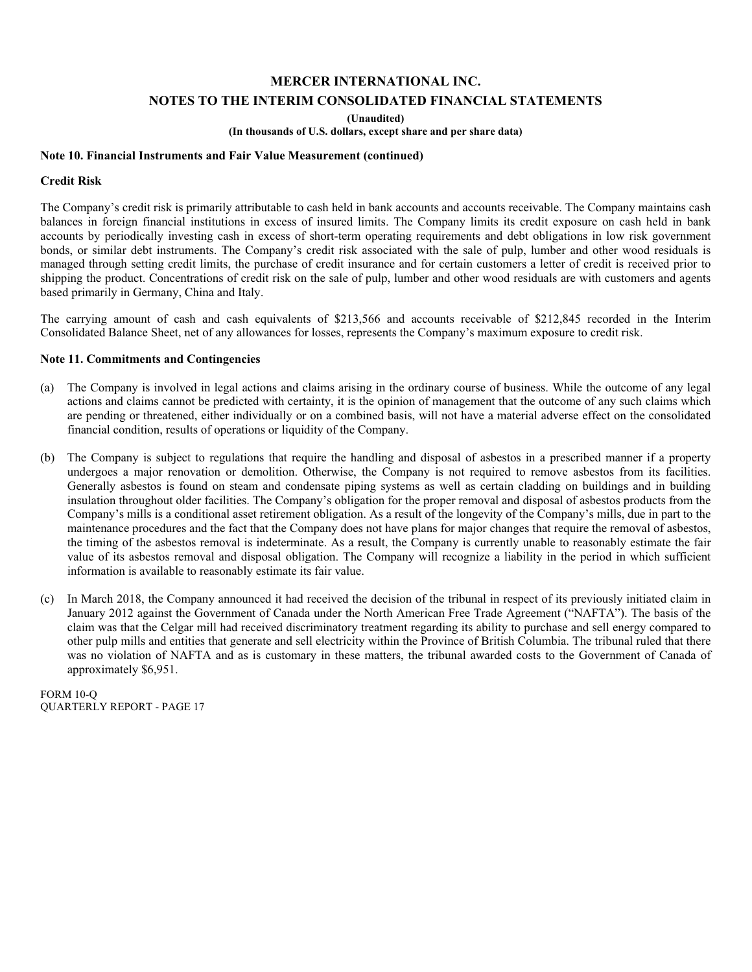**(Unaudited)** 

**(In thousands of U.S. dollars, except share and per share data)** 

#### **Note 10. Financial Instruments and Fair Value Measurement (continued)**

#### **Credit Risk**

The Company's credit risk is primarily attributable to cash held in bank accounts and accounts receivable. The Company maintains cash balances in foreign financial institutions in excess of insured limits. The Company limits its credit exposure on cash held in bank accounts by periodically investing cash in excess of short-term operating requirements and debt obligations in low risk government bonds, or similar debt instruments. The Company's credit risk associated with the sale of pulp, lumber and other wood residuals is managed through setting credit limits, the purchase of credit insurance and for certain customers a letter of credit is received prior to shipping the product. Concentrations of credit risk on the sale of pulp, lumber and other wood residuals are with customers and agents based primarily in Germany, China and Italy.

The carrying amount of cash and cash equivalents of \$213,566 and accounts receivable of \$212,845 recorded in the Interim Consolidated Balance Sheet, net of any allowances for losses, represents the Company's maximum exposure to credit risk.

#### **Note 11. Commitments and Contingencies**

- (a) The Company is involved in legal actions and claims arising in the ordinary course of business. While the outcome of any legal actions and claims cannot be predicted with certainty, it is the opinion of management that the outcome of any such claims which are pending or threatened, either individually or on a combined basis, will not have a material adverse effect on the consolidated financial condition, results of operations or liquidity of the Company.
- (b) The Company is subject to regulations that require the handling and disposal of asbestos in a prescribed manner if a property undergoes a major renovation or demolition. Otherwise, the Company is not required to remove asbestos from its facilities. Generally asbestos is found on steam and condensate piping systems as well as certain cladding on buildings and in building insulation throughout older facilities. The Company's obligation for the proper removal and disposal of asbestos products from the Company's mills is a conditional asset retirement obligation. As a result of the longevity of the Company's mills, due in part to the maintenance procedures and the fact that the Company does not have plans for major changes that require the removal of asbestos, the timing of the asbestos removal is indeterminate. As a result, the Company is currently unable to reasonably estimate the fair value of its asbestos removal and disposal obligation. The Company will recognize a liability in the period in which sufficient information is available to reasonably estimate its fair value.
- (c) In March 2018, the Company announced it had received the decision of the tribunal in respect of its previously initiated claim in January 2012 against the Government of Canada under the North American Free Trade Agreement ("NAFTA"). The basis of the claim was that the Celgar mill had received discriminatory treatment regarding its ability to purchase and sell energy compared to other pulp mills and entities that generate and sell electricity within the Province of British Columbia. The tribunal ruled that there was no violation of NAFTA and as is customary in these matters, the tribunal awarded costs to the Government of Canada of approximately \$6,951.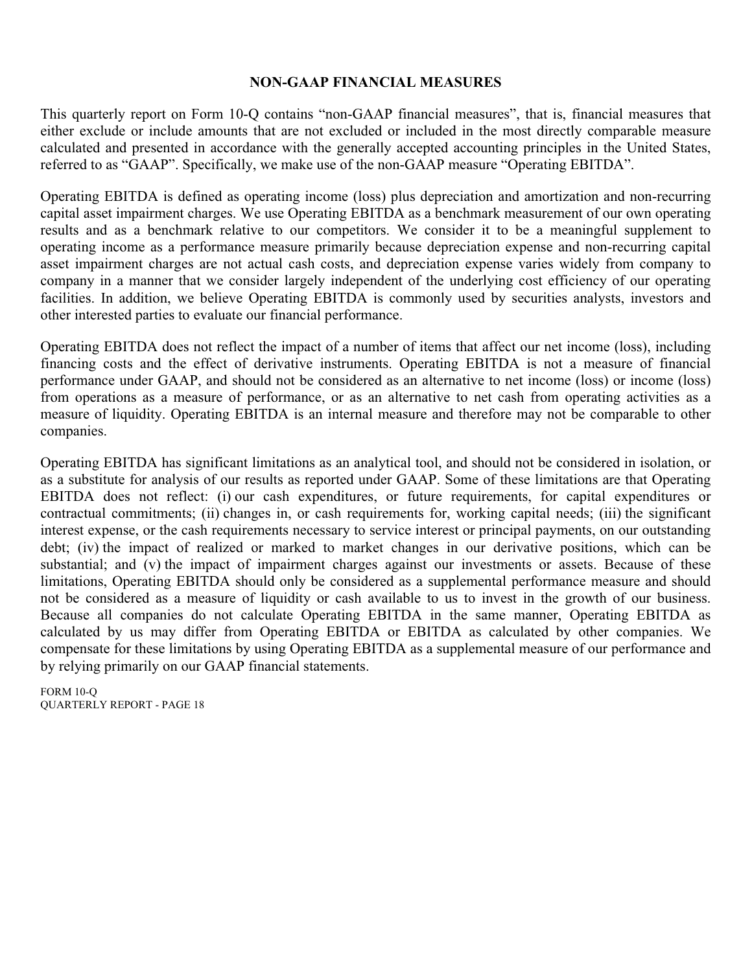### **NON-GAAP FINANCIAL MEASURES**

This quarterly report on Form 10-Q contains "non-GAAP financial measures", that is, financial measures that either exclude or include amounts that are not excluded or included in the most directly comparable measure calculated and presented in accordance with the generally accepted accounting principles in the United States, referred to as "GAAP". Specifically, we make use of the non-GAAP measure "Operating EBITDA".

Operating EBITDA is defined as operating income (loss) plus depreciation and amortization and non-recurring capital asset impairment charges. We use Operating EBITDA as a benchmark measurement of our own operating results and as a benchmark relative to our competitors. We consider it to be a meaningful supplement to operating income as a performance measure primarily because depreciation expense and non-recurring capital asset impairment charges are not actual cash costs, and depreciation expense varies widely from company to company in a manner that we consider largely independent of the underlying cost efficiency of our operating facilities. In addition, we believe Operating EBITDA is commonly used by securities analysts, investors and other interested parties to evaluate our financial performance.

Operating EBITDA does not reflect the impact of a number of items that affect our net income (loss), including financing costs and the effect of derivative instruments. Operating EBITDA is not a measure of financial performance under GAAP, and should not be considered as an alternative to net income (loss) or income (loss) from operations as a measure of performance, or as an alternative to net cash from operating activities as a measure of liquidity. Operating EBITDA is an internal measure and therefore may not be comparable to other companies.

Operating EBITDA has significant limitations as an analytical tool, and should not be considered in isolation, or as a substitute for analysis of our results as reported under GAAP. Some of these limitations are that Operating EBITDA does not reflect: (i) our cash expenditures, or future requirements, for capital expenditures or contractual commitments; (ii) changes in, or cash requirements for, working capital needs; (iii) the significant interest expense, or the cash requirements necessary to service interest or principal payments, on our outstanding debt; (iv) the impact of realized or marked to market changes in our derivative positions, which can be substantial; and (v) the impact of impairment charges against our investments or assets. Because of these limitations, Operating EBITDA should only be considered as a supplemental performance measure and should not be considered as a measure of liquidity or cash available to us to invest in the growth of our business. Because all companies do not calculate Operating EBITDA in the same manner, Operating EBITDA as calculated by us may differ from Operating EBITDA or EBITDA as calculated by other companies. We compensate for these limitations by using Operating EBITDA as a supplemental measure of our performance and by relying primarily on our GAAP financial statements.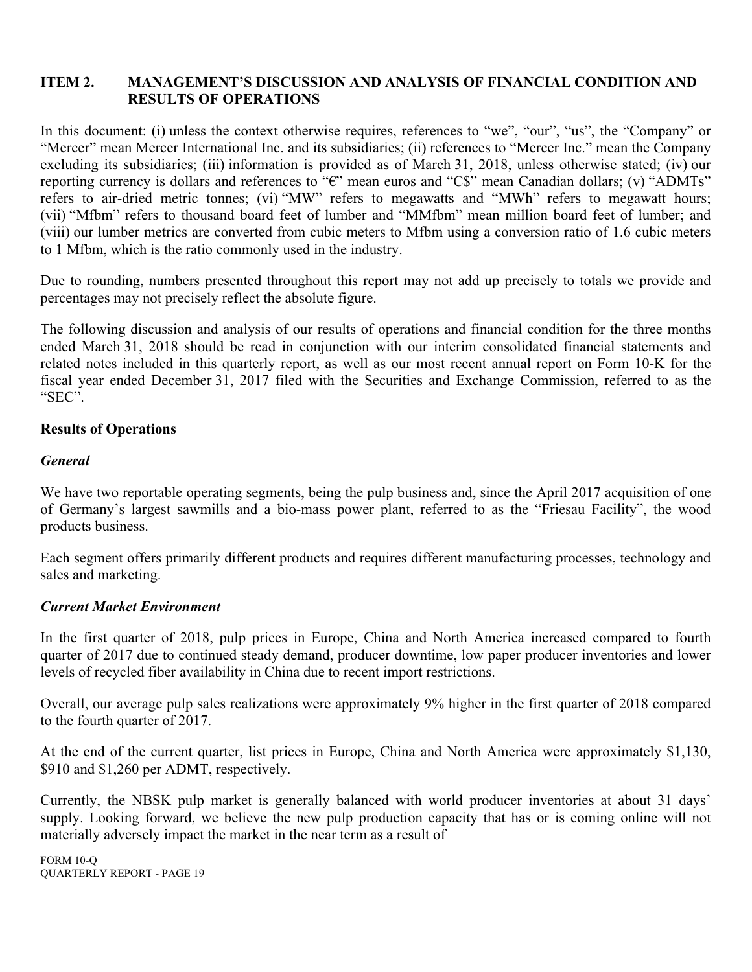# **ITEM 2. MANAGEMENT'S DISCUSSION AND ANALYSIS OF FINANCIAL CONDITION AND RESULTS OF OPERATIONS**

In this document: (i) unless the context otherwise requires, references to "we", "our", "us", the "Company" or "Mercer" mean Mercer International Inc. and its subsidiaries; (ii) references to "Mercer Inc." mean the Company excluding its subsidiaries; (iii) information is provided as of March 31, 2018, unless otherwise stated; (iv) our reporting currency is dollars and references to "€" mean euros and "C\$" mean Canadian dollars; (v) "ADMTs" refers to air-dried metric tonnes; (vi) "MW" refers to megawatts and "MWh" refers to megawatt hours; (vii) "Mfbm" refers to thousand board feet of lumber and "MMfbm" mean million board feet of lumber; and (viii) our lumber metrics are converted from cubic meters to Mfbm using a conversion ratio of 1.6 cubic meters to 1 Mfbm, which is the ratio commonly used in the industry.

Due to rounding, numbers presented throughout this report may not add up precisely to totals we provide and percentages may not precisely reflect the absolute figure.

The following discussion and analysis of our results of operations and financial condition for the three months ended March 31, 2018 should be read in conjunction with our interim consolidated financial statements and related notes included in this quarterly report, as well as our most recent annual report on Form 10-K for the fiscal year ended December 31, 2017 filed with the Securities and Exchange Commission, referred to as the "SEC".

# **Results of Operations**

### *General*

We have two reportable operating segments, being the pulp business and, since the April 2017 acquisition of one of Germany's largest sawmills and a bio-mass power plant, referred to as the "Friesau Facility", the wood products business.

Each segment offers primarily different products and requires different manufacturing processes, technology and sales and marketing.

### *Current Market Environment*

In the first quarter of 2018, pulp prices in Europe, China and North America increased compared to fourth quarter of 2017 due to continued steady demand, producer downtime, low paper producer inventories and lower levels of recycled fiber availability in China due to recent import restrictions.

Overall, our average pulp sales realizations were approximately 9% higher in the first quarter of 2018 compared to the fourth quarter of 2017.

At the end of the current quarter, list prices in Europe, China and North America were approximately \$1,130, \$910 and \$1,260 per ADMT, respectively.

Currently, the NBSK pulp market is generally balanced with world producer inventories at about 31 days' supply. Looking forward, we believe the new pulp production capacity that has or is coming online will not materially adversely impact the market in the near term as a result of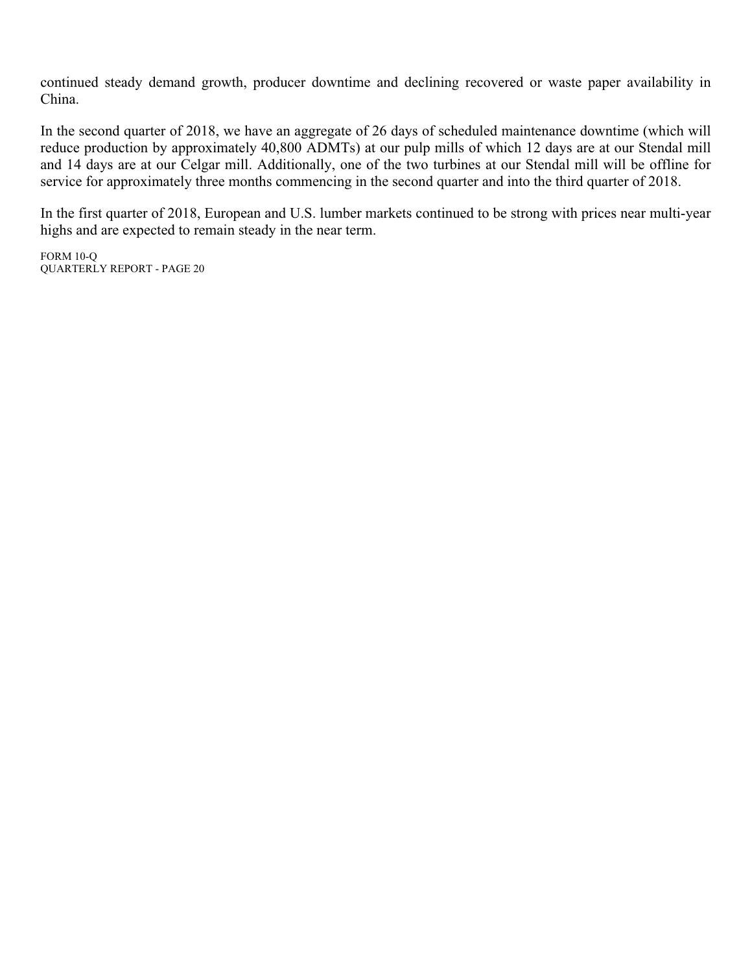continued steady demand growth, producer downtime and declining recovered or waste paper availability in China.

In the second quarter of 2018, we have an aggregate of 26 days of scheduled maintenance downtime (which will reduce production by approximately 40,800 ADMTs) at our pulp mills of which 12 days are at our Stendal mill and 14 days are at our Celgar mill. Additionally, one of the two turbines at our Stendal mill will be offline for service for approximately three months commencing in the second quarter and into the third quarter of 2018.

In the first quarter of 2018, European and U.S. lumber markets continued to be strong with prices near multi-year highs and are expected to remain steady in the near term.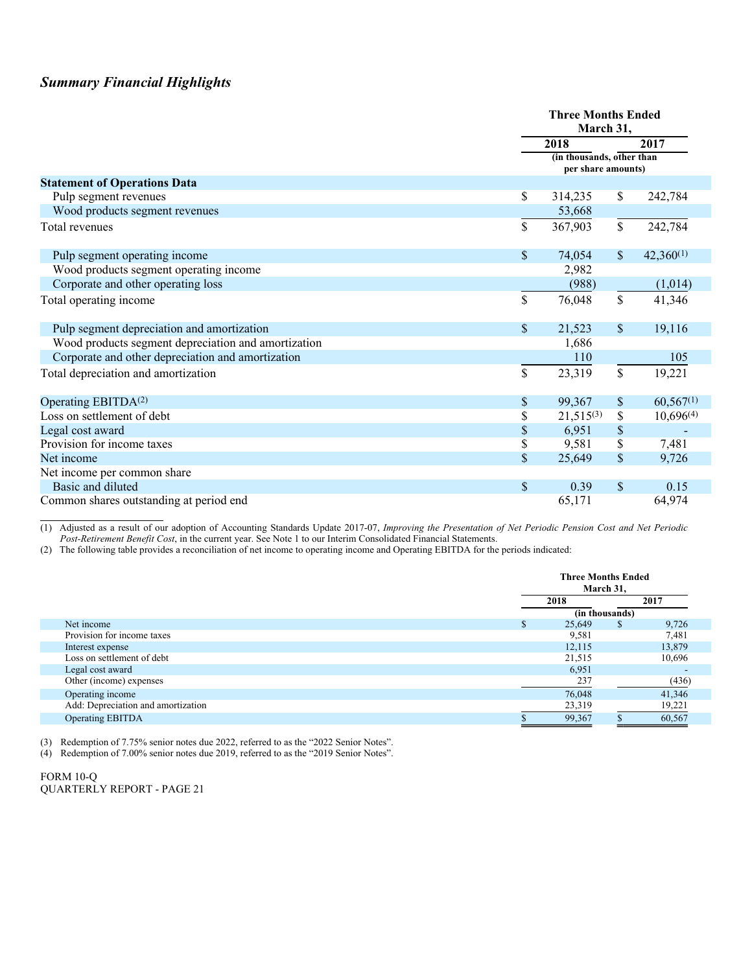# *Summary Financial Highlights*

|                                                     | <b>Three Months Ended</b><br>March 31,          |                           |                |  |  |
|-----------------------------------------------------|-------------------------------------------------|---------------------------|----------------|--|--|
|                                                     | 2018                                            |                           | 2017           |  |  |
|                                                     | (in thousands, other than<br>per share amounts) |                           |                |  |  |
| <b>Statement of Operations Data</b>                 |                                                 |                           |                |  |  |
| Pulp segment revenues                               | \$<br>314,235                                   | S.                        | 242,784        |  |  |
| Wood products segment revenues                      | 53,668                                          |                           |                |  |  |
| Total revenues                                      | \$<br>367,903                                   | $\mathsf{\$}$             | 242,784        |  |  |
| Pulp segment operating income                       | \$<br>74,054                                    | $\mathbb{S}$              | $42,360^{(1)}$ |  |  |
| Wood products segment operating income              | 2,982                                           |                           |                |  |  |
| Corporate and other operating loss                  | (988)                                           |                           | (1,014)        |  |  |
| Total operating income                              | \$<br>76,048                                    | $\mathsf{\$}$             | 41,346         |  |  |
| Pulp segment depreciation and amortization          | \$<br>21,523                                    | $\mathsf{\$}$             | 19,116         |  |  |
| Wood products segment depreciation and amortization | 1,686                                           |                           |                |  |  |
| Corporate and other depreciation and amortization   | 110                                             |                           | 105            |  |  |
| Total depreciation and amortization                 | \$<br>23,319                                    | \$                        | 19,221         |  |  |
| Operating EBITDA <sup>(2)</sup>                     | \$<br>99,367                                    | $\boldsymbol{\mathsf{S}}$ | $60,567^{(1)}$ |  |  |
| Loss on settlement of debt                          | \$<br>$21,515^{(3)}$                            | \$                        | $10,696^{(4)}$ |  |  |
| Legal cost award                                    | \$<br>6,951                                     | \$                        |                |  |  |
| Provision for income taxes                          | \$<br>9,581                                     | \$                        | 7,481          |  |  |
| Net income                                          | \$<br>25,649                                    | \$                        | 9,726          |  |  |
| Net income per common share                         |                                                 |                           |                |  |  |
| Basic and diluted                                   | \$<br>0.39                                      | $\mathbb{S}$              | 0.15           |  |  |
| Common shares outstanding at period end             | 65,171                                          |                           | 64.974         |  |  |

(1)   Adjusted as a result of our adoption of Accounting Standards Update 2017-07, *Improving the Presentation of Net Periodic Pension Cost and Net Periodic Post-Retirement Benefit Cost*, in the current year. See Note 1 to our Interim Consolidated Financial Statements.

(2)   The following table provides a reconciliation of net income to operating income and Operating EBITDA for the periods indicated:

|                                    | <b>Three Months Ended</b><br>March 31, |                |        |  |
|------------------------------------|----------------------------------------|----------------|--------|--|
|                                    | 2018<br>2017                           |                |        |  |
|                                    |                                        | (in thousands) |        |  |
| Net income                         | 25.649                                 | \$.            | 9,726  |  |
| Provision for income taxes         | 9,581                                  |                | 7,481  |  |
| Interest expense                   | 12,115                                 |                | 13,879 |  |
| Loss on settlement of debt         | 21,515                                 |                | 10,696 |  |
| Legal cost award                   | 6,951                                  |                |        |  |
| Other (income) expenses            | 237                                    |                | (436)  |  |
| Operating income                   | 76,048                                 |                | 41,346 |  |
| Add: Depreciation and amortization | 23,319                                 |                | 19,221 |  |
| <b>Operating EBITDA</b>            | 99,367                                 |                | 60,567 |  |

(3) Redemption of 7.75% senior notes due 2022, referred to as the "2022 Senior Notes".

(4) Redemption of 7.00% senior notes due 2019, referred to as the "2019 Senior Notes".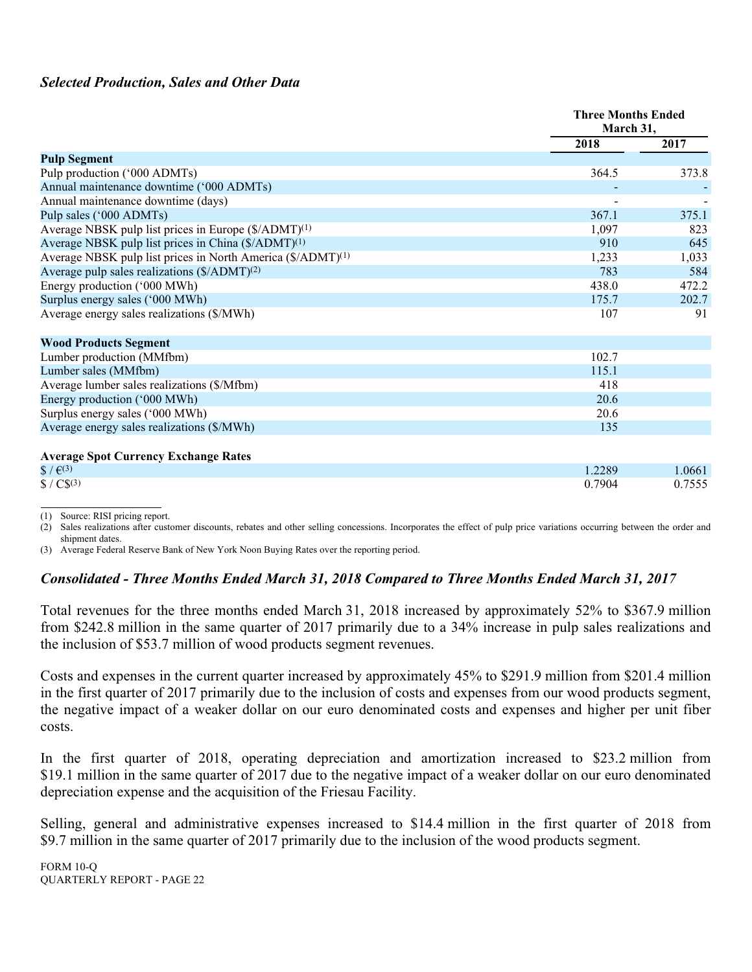## *Selected Production, Sales and Other Data*

|                                                                         | <b>Three Months Ended</b><br>March 31, |        |
|-------------------------------------------------------------------------|----------------------------------------|--------|
|                                                                         | 2018                                   | 2017   |
| <b>Pulp Segment</b>                                                     |                                        |        |
| Pulp production ('000 ADMTs)                                            | 364.5                                  | 373.8  |
| Annual maintenance downtime ('000 ADMTs)                                |                                        |        |
| Annual maintenance downtime (days)                                      |                                        |        |
| Pulp sales ('000 ADMTs)                                                 | 367.1                                  | 375.1  |
| Average NBSK pulp list prices in Europe $(\frac{5}{ADMT})^{(1)}$        | 1,097                                  | 823    |
| Average NBSK pulp list prices in China (\$/ADMT) <sup>(1)</sup>         | 910                                    | 645    |
| Average NBSK pulp list prices in North America (\$/ADMT) <sup>(1)</sup> | 1,233                                  | 1,033  |
| Average pulp sales realizations (\$/ADMT) <sup>(2)</sup>                | 783                                    | 584    |
| Energy production ('000 MWh)                                            | 438.0                                  | 472.2  |
| Surplus energy sales ('000 MWh)                                         | 175.7                                  | 202.7  |
| Average energy sales realizations (\$/MWh)                              | 107                                    | 91     |
| <b>Wood Products Segment</b>                                            |                                        |        |
| Lumber production (MMfbm)                                               | 102.7                                  |        |
| Lumber sales (MMfbm)                                                    | 115.1                                  |        |
| Average lumber sales realizations (\$/Mfbm)                             | 418                                    |        |
| Energy production ('000 MWh)                                            | 20.6                                   |        |
| Surplus energy sales ('000 MWh)                                         | 20.6                                   |        |
| Average energy sales realizations (\$/MWh)                              | 135                                    |        |
| <b>Average Spot Currency Exchange Rates</b>                             |                                        |        |
| $\frac{1}{2}$ / $\frac{1}{2}$ (3)                                       | 1.2289                                 | 1.0661 |
| $$ / C$^{(3)}$                                                          | 0.7904                                 | 0.7555 |

(1) Source: RISI pricing report.

(2) Sales realizations after customer discounts, rebates and other selling concessions. Incorporates the effect of pulp price variations occurring between the order and shipment dates.

(3) Average Federal Reserve Bank of New York Noon Buying Rates over the reporting period.

### *Consolidated - Three Months Ended March 31, 2018 Compared to Three Months Ended March 31, 2017*

Total revenues for the three months ended March 31, 2018 increased by approximately 52% to \$367.9 million from \$242.8 million in the same quarter of 2017 primarily due to a 34% increase in pulp sales realizations and the inclusion of \$53.7 million of wood products segment revenues.

Costs and expenses in the current quarter increased by approximately 45% to \$291.9 million from \$201.4 million in the first quarter of 2017 primarily due to the inclusion of costs and expenses from our wood products segment, the negative impact of a weaker dollar on our euro denominated costs and expenses and higher per unit fiber costs.

In the first quarter of 2018, operating depreciation and amortization increased to \$23.2 million from \$19.1 million in the same quarter of 2017 due to the negative impact of a weaker dollar on our euro denominated depreciation expense and the acquisition of the Friesau Facility.

Selling, general and administrative expenses increased to \$14.4 million in the first quarter of 2018 from \$9.7 million in the same quarter of 2017 primarily due to the inclusion of the wood products segment.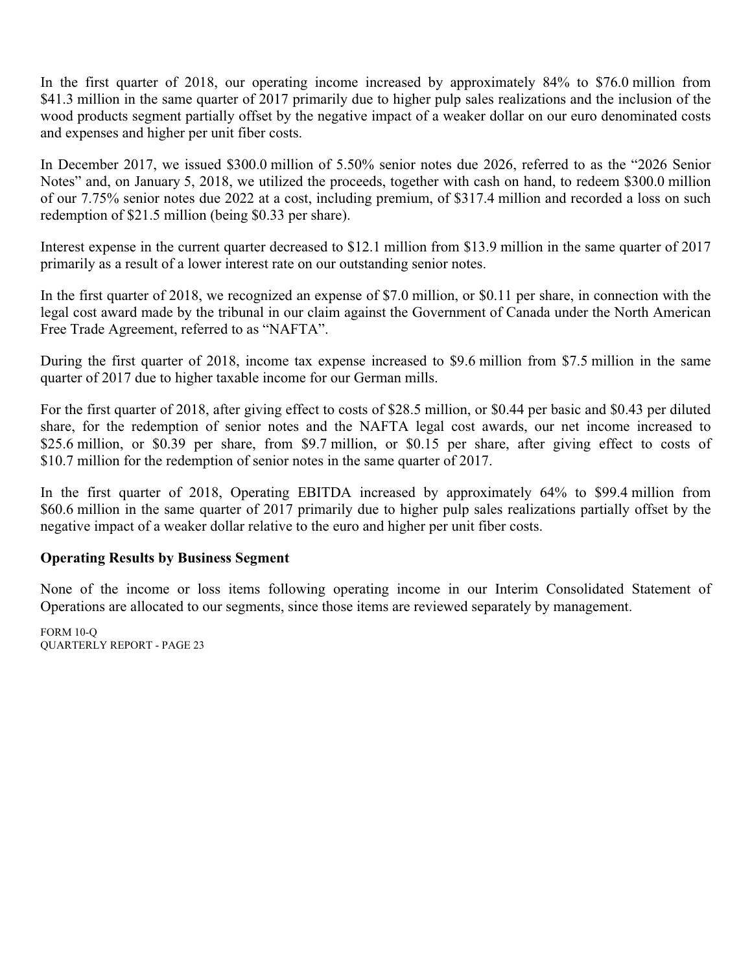In the first quarter of 2018, our operating income increased by approximately 84% to \$76.0 million from \$41.3 million in the same quarter of 2017 primarily due to higher pulp sales realizations and the inclusion of the wood products segment partially offset by the negative impact of a weaker dollar on our euro denominated costs and expenses and higher per unit fiber costs.

In December 2017, we issued \$300.0 million of 5.50% senior notes due 2026, referred to as the "2026 Senior Notes" and, on January 5, 2018, we utilized the proceeds, together with cash on hand, to redeem \$300.0 million of our 7.75% senior notes due 2022 at a cost, including premium, of \$317.4 million and recorded a loss on such redemption of \$21.5 million (being \$0.33 per share).

Interest expense in the current quarter decreased to \$12.1 million from \$13.9 million in the same quarter of 2017 primarily as a result of a lower interest rate on our outstanding senior notes.

In the first quarter of 2018, we recognized an expense of \$7.0 million, or \$0.11 per share, in connection with the legal cost award made by the tribunal in our claim against the Government of Canada under the North American Free Trade Agreement, referred to as "NAFTA".

During the first quarter of 2018, income tax expense increased to \$9.6 million from \$7.5 million in the same quarter of 2017 due to higher taxable income for our German mills.

For the first quarter of 2018, after giving effect to costs of \$28.5 million, or \$0.44 per basic and \$0.43 per diluted share, for the redemption of senior notes and the NAFTA legal cost awards, our net income increased to \$25.6 million, or \$0.39 per share, from \$9.7 million, or \$0.15 per share, after giving effect to costs of \$10.7 million for the redemption of senior notes in the same quarter of 2017.

In the first quarter of 2018, Operating EBITDA increased by approximately 64% to \$99.4 million from \$60.6 million in the same quarter of 2017 primarily due to higher pulp sales realizations partially offset by the negative impact of a weaker dollar relative to the euro and higher per unit fiber costs.

### **Operating Results by Business Segment**

None of the income or loss items following operating income in our Interim Consolidated Statement of Operations are allocated to our segments, since those items are reviewed separately by management.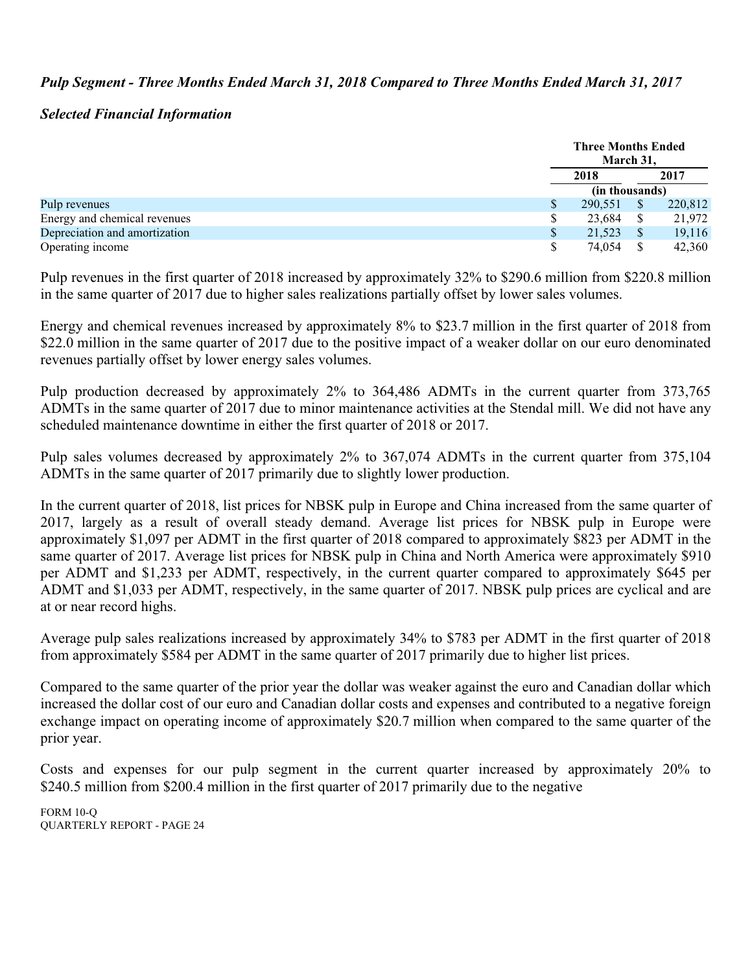# *Pulp Segment - Three Months Ended March 31, 2018 Compared to Three Months Ended March 31, 2017*

## *Selected Financial Information*

|                               | <b>Three Months Ended</b><br>March 31, |      |         |
|-------------------------------|----------------------------------------|------|---------|
|                               | 2018                                   | 2017 |         |
|                               | (in thousands)                         |      |         |
| Pulp revenues                 | 290,551                                |      | 220,812 |
| Energy and chemical revenues  | 23.684                                 |      | 21,972  |
| Depreciation and amortization | \$<br>21,523                           |      | 19,116  |
| Operating income              | 74.054                                 |      | 42,360  |

Pulp revenues in the first quarter of 2018 increased by approximately 32% to \$290.6 million from \$220.8 million in the same quarter of 2017 due to higher sales realizations partially offset by lower sales volumes.

Energy and chemical revenues increased by approximately 8% to \$23.7 million in the first quarter of 2018 from \$22.0 million in the same quarter of 2017 due to the positive impact of a weaker dollar on our euro denominated revenues partially offset by lower energy sales volumes.

Pulp production decreased by approximately 2% to 364,486 ADMTs in the current quarter from 373,765 ADMTs in the same quarter of 2017 due to minor maintenance activities at the Stendal mill. We did not have any scheduled maintenance downtime in either the first quarter of 2018 or 2017.

Pulp sales volumes decreased by approximately 2% to 367,074 ADMTs in the current quarter from 375,104 ADMTs in the same quarter of 2017 primarily due to slightly lower production.

In the current quarter of 2018, list prices for NBSK pulp in Europe and China increased from the same quarter of 2017, largely as a result of overall steady demand. Average list prices for NBSK pulp in Europe were approximately \$1,097 per ADMT in the first quarter of 2018 compared to approximately \$823 per ADMT in the same quarter of 2017. Average list prices for NBSK pulp in China and North America were approximately \$910 per ADMT and \$1,233 per ADMT, respectively, in the current quarter compared to approximately \$645 per ADMT and \$1,033 per ADMT, respectively, in the same quarter of 2017. NBSK pulp prices are cyclical and are at or near record highs.

Average pulp sales realizations increased by approximately 34% to \$783 per ADMT in the first quarter of 2018 from approximately \$584 per ADMT in the same quarter of 2017 primarily due to higher list prices.

Compared to the same quarter of the prior year the dollar was weaker against the euro and Canadian dollar which increased the dollar cost of our euro and Canadian dollar costs and expenses and contributed to a negative foreign exchange impact on operating income of approximately \$20.7 million when compared to the same quarter of the prior year.

Costs and expenses for our pulp segment in the current quarter increased by approximately 20% to \$240.5 million from \$200.4 million in the first quarter of 2017 primarily due to the negative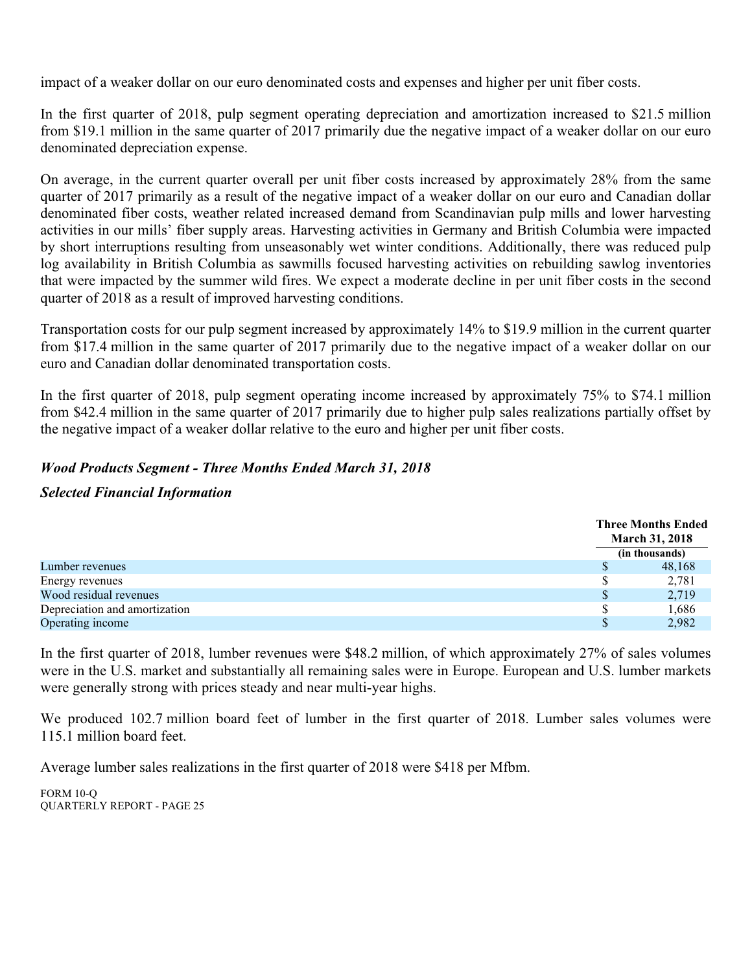impact of a weaker dollar on our euro denominated costs and expenses and higher per unit fiber costs.

In the first quarter of 2018, pulp segment operating depreciation and amortization increased to \$21.5 million from \$19.1 million in the same quarter of 2017 primarily due the negative impact of a weaker dollar on our euro denominated depreciation expense.

On average, in the current quarter overall per unit fiber costs increased by approximately 28% from the same quarter of 2017 primarily as a result of the negative impact of a weaker dollar on our euro and Canadian dollar denominated fiber costs, weather related increased demand from Scandinavian pulp mills and lower harvesting activities in our mills' fiber supply areas. Harvesting activities in Germany and British Columbia were impacted by short interruptions resulting from unseasonably wet winter conditions. Additionally, there was reduced pulp log availability in British Columbia as sawmills focused harvesting activities on rebuilding sawlog inventories that were impacted by the summer wild fires. We expect a moderate decline in per unit fiber costs in the second quarter of 2018 as a result of improved harvesting conditions.

Transportation costs for our pulp segment increased by approximately 14% to \$19.9 million in the current quarter from \$17.4 million in the same quarter of 2017 primarily due to the negative impact of a weaker dollar on our euro and Canadian dollar denominated transportation costs.

In the first quarter of 2018, pulp segment operating income increased by approximately 75% to \$74.1 million from \$42.4 million in the same quarter of 2017 primarily due to higher pulp sales realizations partially offset by the negative impact of a weaker dollar relative to the euro and higher per unit fiber costs.

# *Wood Products Segment - Three Months Ended March 31, 2018*

### *Selected Financial Information*

|                               | <b>Three Months Ended</b><br><b>March 31, 2018</b> |
|-------------------------------|----------------------------------------------------|
|                               | (in thousands)                                     |
| Lumber revenues               | 48,168                                             |
| Energy revenues               | 2,781                                              |
| Wood residual revenues        | 2,719                                              |
| Depreciation and amortization | 1,686                                              |
| Operating income              | 2,982                                              |

In the first quarter of 2018, lumber revenues were \$48.2 million, of which approximately 27% of sales volumes were in the U.S. market and substantially all remaining sales were in Europe. European and U.S. lumber markets were generally strong with prices steady and near multi-year highs.

We produced 102.7 million board feet of lumber in the first quarter of 2018. Lumber sales volumes were 115.1 million board feet.

Average lumber sales realizations in the first quarter of 2018 were \$418 per Mfbm.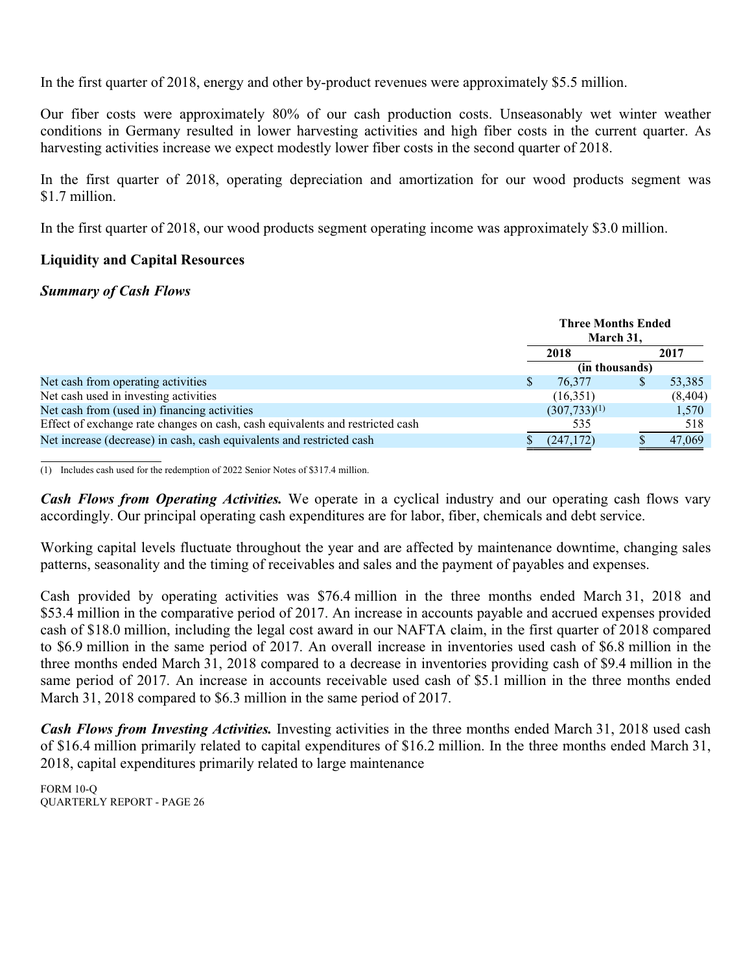In the first quarter of 2018, energy and other by-product revenues were approximately \$5.5 million.

Our fiber costs were approximately 80% of our cash production costs. Unseasonably wet winter weather conditions in Germany resulted in lower harvesting activities and high fiber costs in the current quarter. As harvesting activities increase we expect modestly lower fiber costs in the second quarter of 2018.

In the first quarter of 2018, operating depreciation and amortization for our wood products segment was \$1.7 million.

In the first quarter of 2018, our wood products segment operating income was approximately \$3.0 million.

# **Liquidity and Capital Resources**

# *Summary of Cash Flows*

|                                                                               | <b>Three Months Ended</b><br>March 31, |                   |      |          |
|-------------------------------------------------------------------------------|----------------------------------------|-------------------|------|----------|
|                                                                               | 2018                                   |                   | 2017 |          |
|                                                                               |                                        | (in thousands)    |      |          |
| Net cash from operating activities                                            | S                                      | 76.377            |      | 53,385   |
| Net cash used in investing activities                                         |                                        | (16,351)          |      | (8, 404) |
| Net cash from (used in) financing activities                                  |                                        | $(307,733)^{(1)}$ |      | 1,570    |
| Effect of exchange rate changes on cash, cash equivalents and restricted cash |                                        | 535               |      | 518      |
| Net increase (decrease) in cash, cash equivalents and restricted cash         |                                        | (247, 172)        |      | 47.069   |

(1) Includes cash used for the redemption of 2022 Senior Notes of \$317.4 million.

*Cash Flows from Operating Activities.* We operate in a cyclical industry and our operating cash flows vary accordingly. Our principal operating cash expenditures are for labor, fiber, chemicals and debt service.

Working capital levels fluctuate throughout the year and are affected by maintenance downtime, changing sales patterns, seasonality and the timing of receivables and sales and the payment of payables and expenses.

Cash provided by operating activities was \$76.4 million in the three months ended March 31, 2018 and \$53.4 million in the comparative period of 2017. An increase in accounts payable and accrued expenses provided cash of \$18.0 million, including the legal cost award in our NAFTA claim, in the first quarter of 2018 compared to \$6.9 million in the same period of 2017. An overall increase in inventories used cash of \$6.8 million in the three months ended March 31, 2018 compared to a decrease in inventories providing cash of \$9.4 million in the same period of 2017. An increase in accounts receivable used cash of \$5.1 million in the three months ended March 31, 2018 compared to \$6.3 million in the same period of 2017.

*Cash Flows from Investing Activities.* Investing activities in the three months ended March 31, 2018 used cash of \$16.4 million primarily related to capital expenditures of \$16.2 million. In the three months ended March 31, 2018, capital expenditures primarily related to large maintenance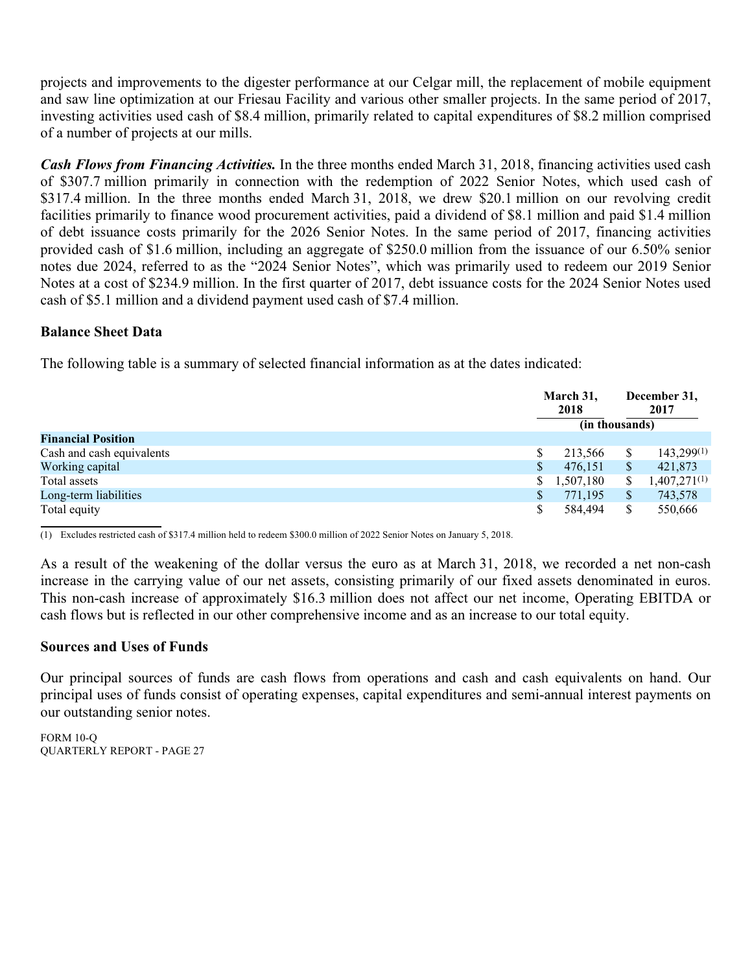projects and improvements to the digester performance at our Celgar mill, the replacement of mobile equipment and saw line optimization at our Friesau Facility and various other smaller projects. In the same period of 2017, investing activities used cash of \$8.4 million, primarily related to capital expenditures of \$8.2 million comprised of a number of projects at our mills.

*Cash Flows from Financing Activities.* In the three months ended March 31, 2018, financing activities used cash of \$307.7 million primarily in connection with the redemption of 2022 Senior Notes, which used cash of \$317.4 million. In the three months ended March 31, 2018, we drew \$20.1 million on our revolving credit facilities primarily to finance wood procurement activities, paid a dividend of \$8.1 million and paid \$1.4 million of debt issuance costs primarily for the 2026 Senior Notes. In the same period of 2017, financing activities provided cash of \$1.6 million, including an aggregate of \$250.0 million from the issuance of our 6.50% senior notes due 2024, referred to as the "2024 Senior Notes", which was primarily used to redeem our 2019 Senior Notes at a cost of \$234.9 million. In the first quarter of 2017, debt issuance costs for the 2024 Senior Notes used cash of \$5.1 million and a dividend payment used cash of \$7.4 million.

### **Balance Sheet Data**

The following table is a summary of selected financial information as at the dates indicated:

|                           |    | March 31,<br>December 31,<br>2018<br>2017<br>(in thousands) |              |                   |
|---------------------------|----|-------------------------------------------------------------|--------------|-------------------|
| <b>Financial Position</b> |    |                                                             |              |                   |
| Cash and cash equivalents |    | 213,566                                                     | S            | $143,299^{(1)}$   |
| Working capital           | S  | 476,151                                                     | <sup>S</sup> | 421,873           |
| Total assets              | S. | 1,507,180                                                   | S.           | $1,407,271^{(1)}$ |
| Long-term liabilities     | S  | 771,195                                                     | S            | 743,578           |
| Total equity              | S  | 584,494                                                     | \$           | 550,666           |

(1) Excludes restricted cash of \$317.4 million held to redeem \$300.0 million of 2022 Senior Notes on January 5, 2018.

As a result of the weakening of the dollar versus the euro as at March 31, 2018, we recorded a net non-cash increase in the carrying value of our net assets, consisting primarily of our fixed assets denominated in euros. This non-cash increase of approximately \$16.3 million does not affect our net income, Operating EBITDA or cash flows but is reflected in our other comprehensive income and as an increase to our total equity.

### **Sources and Uses of Funds**

Our principal sources of funds are cash flows from operations and cash and cash equivalents on hand. Our principal uses of funds consist of operating expenses, capital expenditures and semi-annual interest payments on our outstanding senior notes.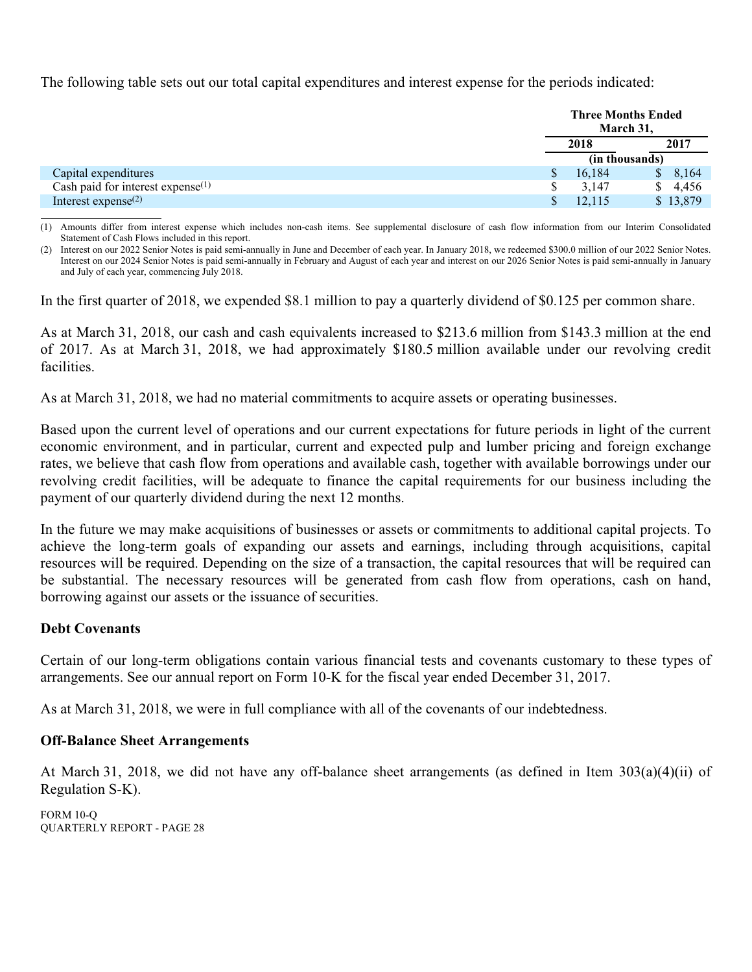The following table sets out our total capital expenditures and interest expense for the periods indicated:

|                                      | <b>Three Months Ended</b><br>March 31, |             |  |
|--------------------------------------|----------------------------------------|-------------|--|
|                                      | 2018                                   | 2017        |  |
|                                      | (in thousands)                         |             |  |
| Capital expenditures                 | 16,184                                 | 8,164<br>S. |  |
| Cash paid for interest expense $(1)$ | 3.147                                  | 4.456<br>S. |  |
| Interest expense $(2)$               | 12,115                                 | \$13,879    |  |

(1) Amounts differ from interest expense which includes non-cash items. See supplemental disclosure of cash flow information from our Interim Consolidated Statement of Cash Flows included in this report.

(2) Interest on our 2022 Senior Notes is paid semi-annually in June and December of each year. In January 2018, we redeemed \$300.0 million of our 2022 Senior Notes. Interest on our 2024 Senior Notes is paid semi-annually in February and August of each year and interest on our 2026 Senior Notes is paid semi-annually in January and July of each year, commencing July 2018.

In the first quarter of 2018, we expended \$8.1 million to pay a quarterly dividend of \$0.125 per common share.

As at March 31, 2018, our cash and cash equivalents increased to \$213.6 million from \$143.3 million at the end of 2017. As at March 31, 2018, we had approximately \$180.5 million available under our revolving credit facilities.

As at March 31, 2018, we had no material commitments to acquire assets or operating businesses.

Based upon the current level of operations and our current expectations for future periods in light of the current economic environment, and in particular, current and expected pulp and lumber pricing and foreign exchange rates, we believe that cash flow from operations and available cash, together with available borrowings under our revolving credit facilities, will be adequate to finance the capital requirements for our business including the payment of our quarterly dividend during the next 12 months.

In the future we may make acquisitions of businesses or assets or commitments to additional capital projects. To achieve the long-term goals of expanding our assets and earnings, including through acquisitions, capital resources will be required. Depending on the size of a transaction, the capital resources that will be required can be substantial. The necessary resources will be generated from cash flow from operations, cash on hand, borrowing against our assets or the issuance of securities.

### **Debt Covenants**

Certain of our long-term obligations contain various financial tests and covenants customary to these types of arrangements. See our annual report on Form 10-K for the fiscal year ended December 31, 2017.

As at March 31, 2018, we were in full compliance with all of the covenants of our indebtedness.

### **Off-Balance Sheet Arrangements**

At March 31, 2018, we did not have any off-balance sheet arrangements (as defined in Item 303(a)(4)(ii) of Regulation S-K).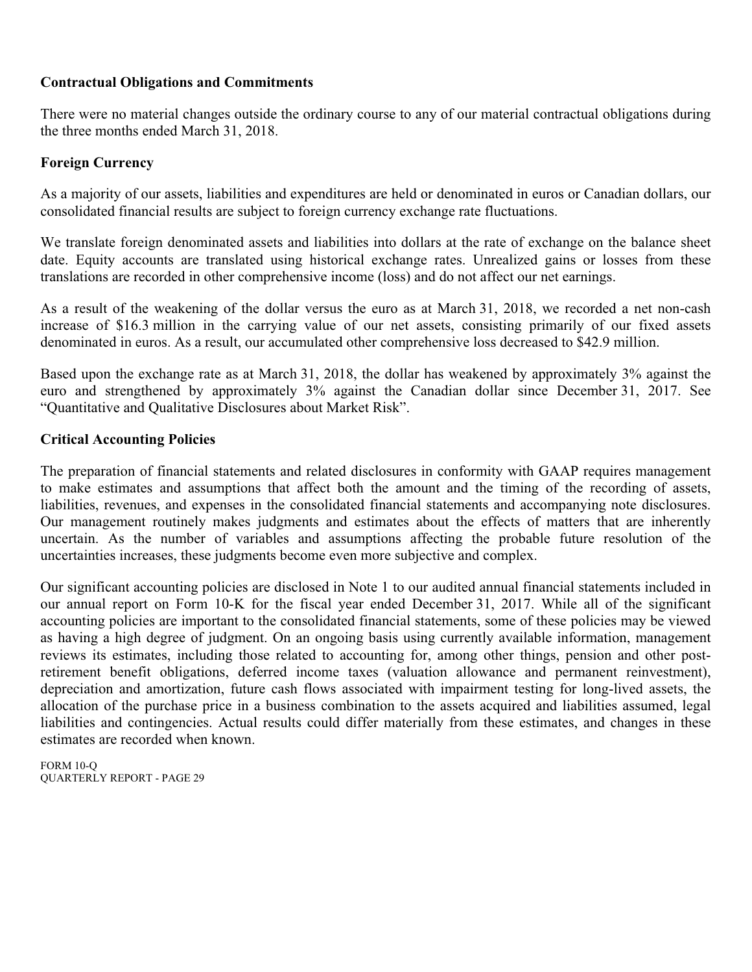# **Contractual Obligations and Commitments**

There were no material changes outside the ordinary course to any of our material contractual obligations during the three months ended March 31, 2018.

# **Foreign Currency**

As a majority of our assets, liabilities and expenditures are held or denominated in euros or Canadian dollars, our consolidated financial results are subject to foreign currency exchange rate fluctuations.

We translate foreign denominated assets and liabilities into dollars at the rate of exchange on the balance sheet date. Equity accounts are translated using historical exchange rates. Unrealized gains or losses from these translations are recorded in other comprehensive income (loss) and do not affect our net earnings.

As a result of the weakening of the dollar versus the euro as at March 31, 2018, we recorded a net non-cash increase of \$16.3 million in the carrying value of our net assets, consisting primarily of our fixed assets denominated in euros. As a result, our accumulated other comprehensive loss decreased to \$42.9 million.

Based upon the exchange rate as at March 31, 2018, the dollar has weakened by approximately 3% against the euro and strengthened by approximately 3% against the Canadian dollar since December 31, 2017. See "Quantitative and Qualitative Disclosures about Market Risk".

# **Critical Accounting Policies**

The preparation of financial statements and related disclosures in conformity with GAAP requires management to make estimates and assumptions that affect both the amount and the timing of the recording of assets, liabilities, revenues, and expenses in the consolidated financial statements and accompanying note disclosures. Our management routinely makes judgments and estimates about the effects of matters that are inherently uncertain. As the number of variables and assumptions affecting the probable future resolution of the uncertainties increases, these judgments become even more subjective and complex.

Our significant accounting policies are disclosed in Note 1 to our audited annual financial statements included in our annual report on Form 10-K for the fiscal year ended December 31, 2017. While all of the significant accounting policies are important to the consolidated financial statements, some of these policies may be viewed as having a high degree of judgment. On an ongoing basis using currently available information, management reviews its estimates, including those related to accounting for, among other things, pension and other postretirement benefit obligations, deferred income taxes (valuation allowance and permanent reinvestment), depreciation and amortization, future cash flows associated with impairment testing for long-lived assets, the allocation of the purchase price in a business combination to the assets acquired and liabilities assumed, legal liabilities and contingencies. Actual results could differ materially from these estimates, and changes in these estimates are recorded when known.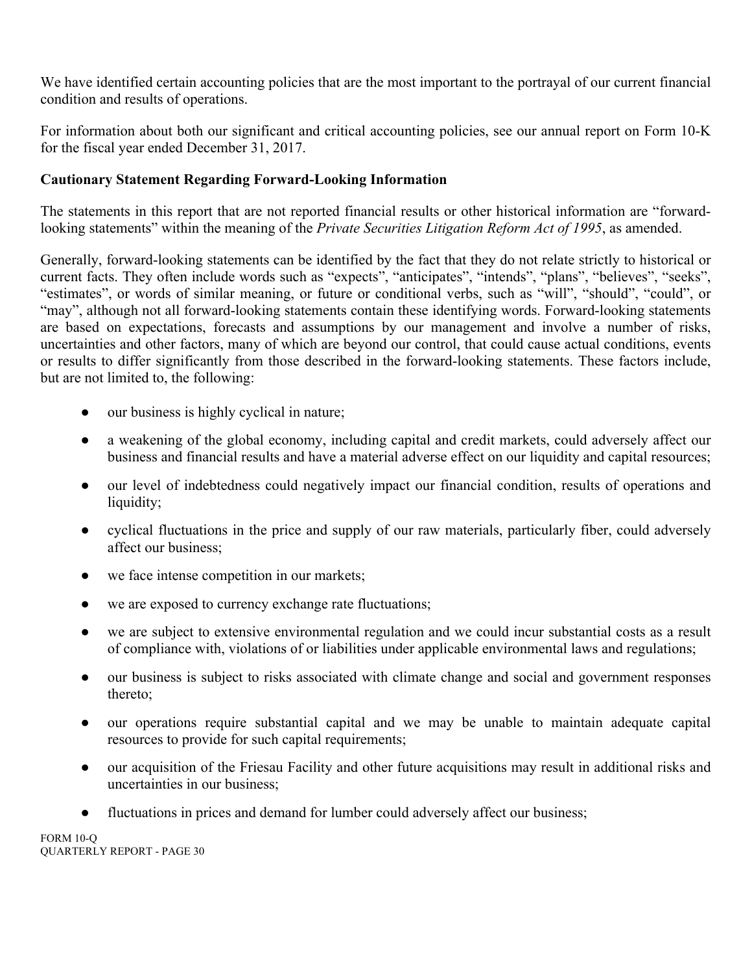We have identified certain accounting policies that are the most important to the portrayal of our current financial condition and results of operations.

For information about both our significant and critical accounting policies, see our annual report on Form 10-K for the fiscal year ended December 31, 2017.

# **Cautionary Statement Regarding Forward-Looking Information**

The statements in this report that are not reported financial results or other historical information are "forwardlooking statements" within the meaning of the *Private Securities Litigation Reform Act of 1995*, as amended.

Generally, forward-looking statements can be identified by the fact that they do not relate strictly to historical or current facts. They often include words such as "expects", "anticipates", "intends", "plans", "believes", "seeks", "estimates", or words of similar meaning, or future or conditional verbs, such as "will", "should", "could", or "may", although not all forward-looking statements contain these identifying words. Forward-looking statements are based on expectations, forecasts and assumptions by our management and involve a number of risks, uncertainties and other factors, many of which are beyond our control, that could cause actual conditions, events or results to differ significantly from those described in the forward-looking statements. These factors include, but are not limited to, the following:

- our business is highly cyclical in nature;
- a weakening of the global economy, including capital and credit markets, could adversely affect our business and financial results and have a material adverse effect on our liquidity and capital resources;
- our level of indebtedness could negatively impact our financial condition, results of operations and liquidity;
- cyclical fluctuations in the price and supply of our raw materials, particularly fiber, could adversely affect our business;
- we face intense competition in our markets;
- we are exposed to currency exchange rate fluctuations;
- we are subject to extensive environmental regulation and we could incur substantial costs as a result of compliance with, violations of or liabilities under applicable environmental laws and regulations;
- our business is subject to risks associated with climate change and social and government responses thereto;
- our operations require substantial capital and we may be unable to maintain adequate capital resources to provide for such capital requirements;
- our acquisition of the Friesau Facility and other future acquisitions may result in additional risks and uncertainties in our business;
- fluctuations in prices and demand for lumber could adversely affect our business;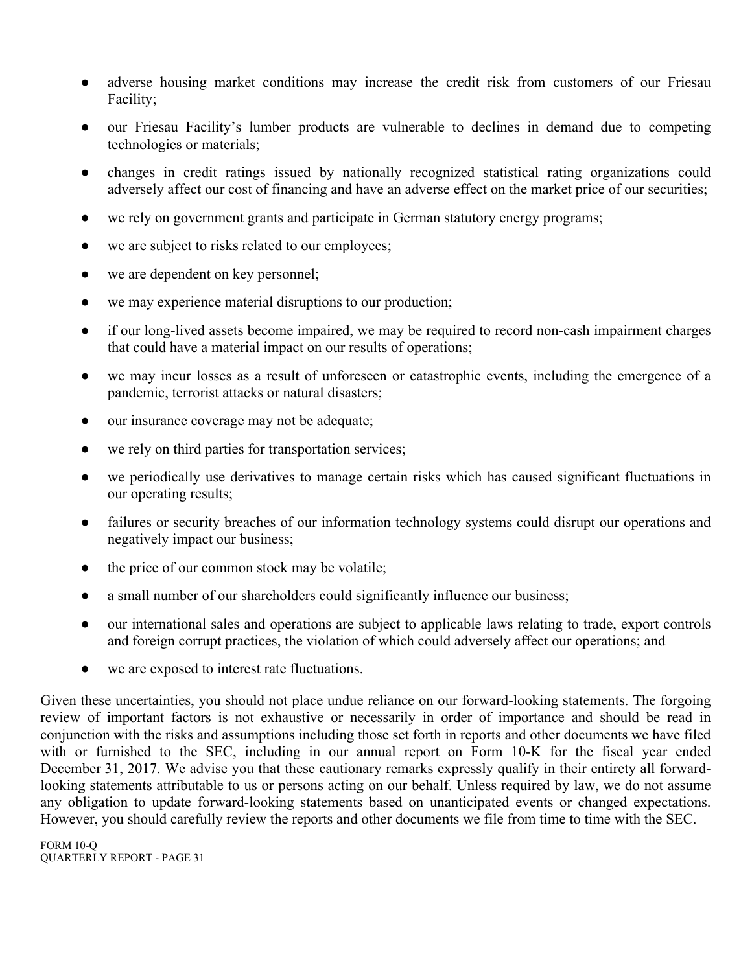- adverse housing market conditions may increase the credit risk from customers of our Friesau Facility;
- our Friesau Facility's lumber products are vulnerable to declines in demand due to competing technologies or materials;
- changes in credit ratings issued by nationally recognized statistical rating organizations could adversely affect our cost of financing and have an adverse effect on the market price of our securities;
- we rely on government grants and participate in German statutory energy programs;
- we are subject to risks related to our employees;
- we are dependent on key personnel;
- we may experience material disruptions to our production;
- if our long-lived assets become impaired, we may be required to record non-cash impairment charges that could have a material impact on our results of operations;
- we may incur losses as a result of unforeseen or catastrophic events, including the emergence of a pandemic, terrorist attacks or natural disasters;
- our insurance coverage may not be adequate;
- we rely on third parties for transportation services;
- we periodically use derivatives to manage certain risks which has caused significant fluctuations in our operating results;
- failures or security breaches of our information technology systems could disrupt our operations and negatively impact our business;
- $\bullet$  the price of our common stock may be volatile;
- a small number of our shareholders could significantly influence our business;
- our international sales and operations are subject to applicable laws relating to trade, export controls and foreign corrupt practices, the violation of which could adversely affect our operations; and
- we are exposed to interest rate fluctuations.

Given these uncertainties, you should not place undue reliance on our forward-looking statements. The forgoing review of important factors is not exhaustive or necessarily in order of importance and should be read in conjunction with the risks and assumptions including those set forth in reports and other documents we have filed with or furnished to the SEC, including in our annual report on Form 10-K for the fiscal year ended December 31, 2017. We advise you that these cautionary remarks expressly qualify in their entirety all forwardlooking statements attributable to us or persons acting on our behalf. Unless required by law, we do not assume any obligation to update forward-looking statements based on unanticipated events or changed expectations. However, you should carefully review the reports and other documents we file from time to time with the SEC.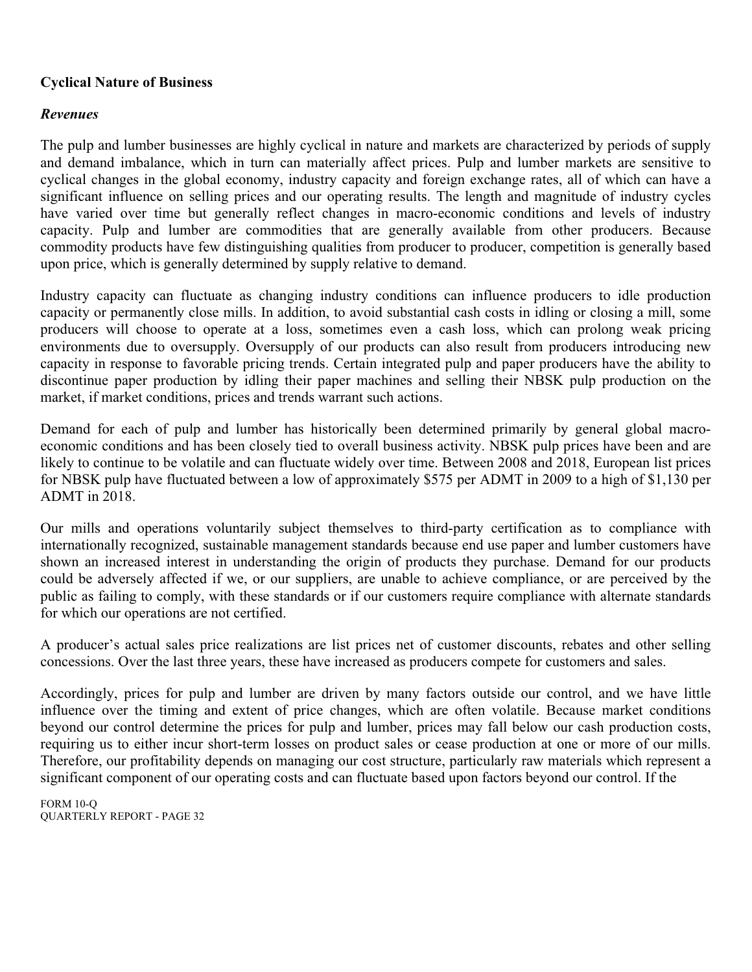# **Cyclical Nature of Business**

### *Revenues*

The pulp and lumber businesses are highly cyclical in nature and markets are characterized by periods of supply and demand imbalance, which in turn can materially affect prices. Pulp and lumber markets are sensitive to cyclical changes in the global economy, industry capacity and foreign exchange rates, all of which can have a significant influence on selling prices and our operating results. The length and magnitude of industry cycles have varied over time but generally reflect changes in macro-economic conditions and levels of industry capacity. Pulp and lumber are commodities that are generally available from other producers. Because commodity products have few distinguishing qualities from producer to producer, competition is generally based upon price, which is generally determined by supply relative to demand.

Industry capacity can fluctuate as changing industry conditions can influence producers to idle production capacity or permanently close mills. In addition, to avoid substantial cash costs in idling or closing a mill, some producers will choose to operate at a loss, sometimes even a cash loss, which can prolong weak pricing environments due to oversupply. Oversupply of our products can also result from producers introducing new capacity in response to favorable pricing trends. Certain integrated pulp and paper producers have the ability to discontinue paper production by idling their paper machines and selling their NBSK pulp production on the market, if market conditions, prices and trends warrant such actions.

Demand for each of pulp and lumber has historically been determined primarily by general global macroeconomic conditions and has been closely tied to overall business activity. NBSK pulp prices have been and are likely to continue to be volatile and can fluctuate widely over time. Between 2008 and 2018, European list prices for NBSK pulp have fluctuated between a low of approximately \$575 per ADMT in 2009 to a high of \$1,130 per ADMT in 2018.

Our mills and operations voluntarily subject themselves to third-party certification as to compliance with internationally recognized, sustainable management standards because end use paper and lumber customers have shown an increased interest in understanding the origin of products they purchase. Demand for our products could be adversely affected if we, or our suppliers, are unable to achieve compliance, or are perceived by the public as failing to comply, with these standards or if our customers require compliance with alternate standards for which our operations are not certified.

A producer's actual sales price realizations are list prices net of customer discounts, rebates and other selling concessions. Over the last three years, these have increased as producers compete for customers and sales.

Accordingly, prices for pulp and lumber are driven by many factors outside our control, and we have little influence over the timing and extent of price changes, which are often volatile. Because market conditions beyond our control determine the prices for pulp and lumber, prices may fall below our cash production costs, requiring us to either incur short-term losses on product sales or cease production at one or more of our mills. Therefore, our profitability depends on managing our cost structure, particularly raw materials which represent a significant component of our operating costs and can fluctuate based upon factors beyond our control. If the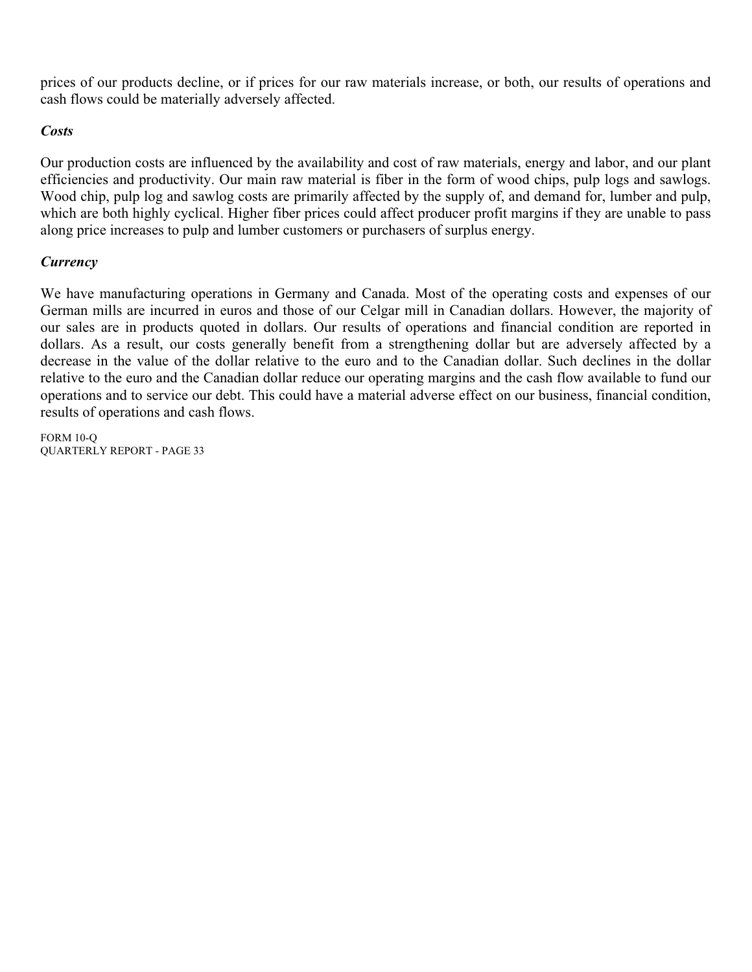prices of our products decline, or if prices for our raw materials increase, or both, our results of operations and cash flows could be materially adversely affected.

# *Costs*

Our production costs are influenced by the availability and cost of raw materials, energy and labor, and our plant efficiencies and productivity. Our main raw material is fiber in the form of wood chips, pulp logs and sawlogs. Wood chip, pulp log and sawlog costs are primarily affected by the supply of, and demand for, lumber and pulp, which are both highly cyclical. Higher fiber prices could affect producer profit margins if they are unable to pass along price increases to pulp and lumber customers or purchasers of surplus energy.

# *Currency*

We have manufacturing operations in Germany and Canada. Most of the operating costs and expenses of our German mills are incurred in euros and those of our Celgar mill in Canadian dollars. However, the majority of our sales are in products quoted in dollars. Our results of operations and financial condition are reported in dollars. As a result, our costs generally benefit from a strengthening dollar but are adversely affected by a decrease in the value of the dollar relative to the euro and to the Canadian dollar. Such declines in the dollar relative to the euro and the Canadian dollar reduce our operating margins and the cash flow available to fund our operations and to service our debt. This could have a material adverse effect on our business, financial condition, results of operations and cash flows.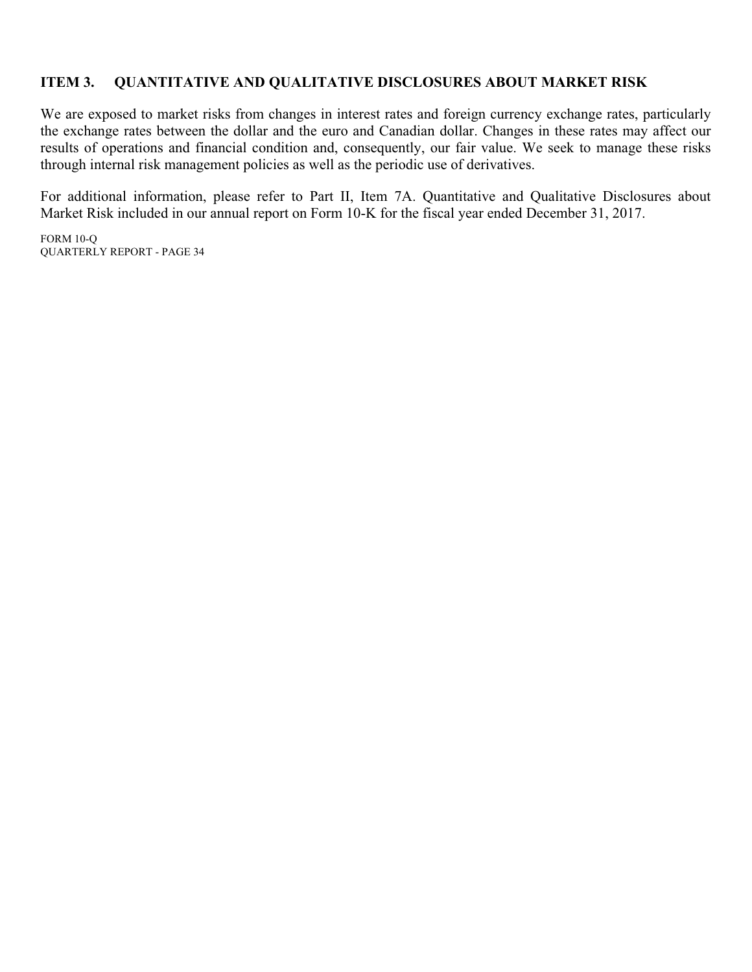# **ITEM 3. QUANTITATIVE AND QUALITATIVE DISCLOSURES ABOUT MARKET RISK**

We are exposed to market risks from changes in interest rates and foreign currency exchange rates, particularly the exchange rates between the dollar and the euro and Canadian dollar. Changes in these rates may affect our results of operations and financial condition and, consequently, our fair value. We seek to manage these risks through internal risk management policies as well as the periodic use of derivatives.

For additional information, please refer to Part II, Item 7A. Quantitative and Qualitative Disclosures about Market Risk included in our annual report on Form 10-K for the fiscal year ended December 31, 2017.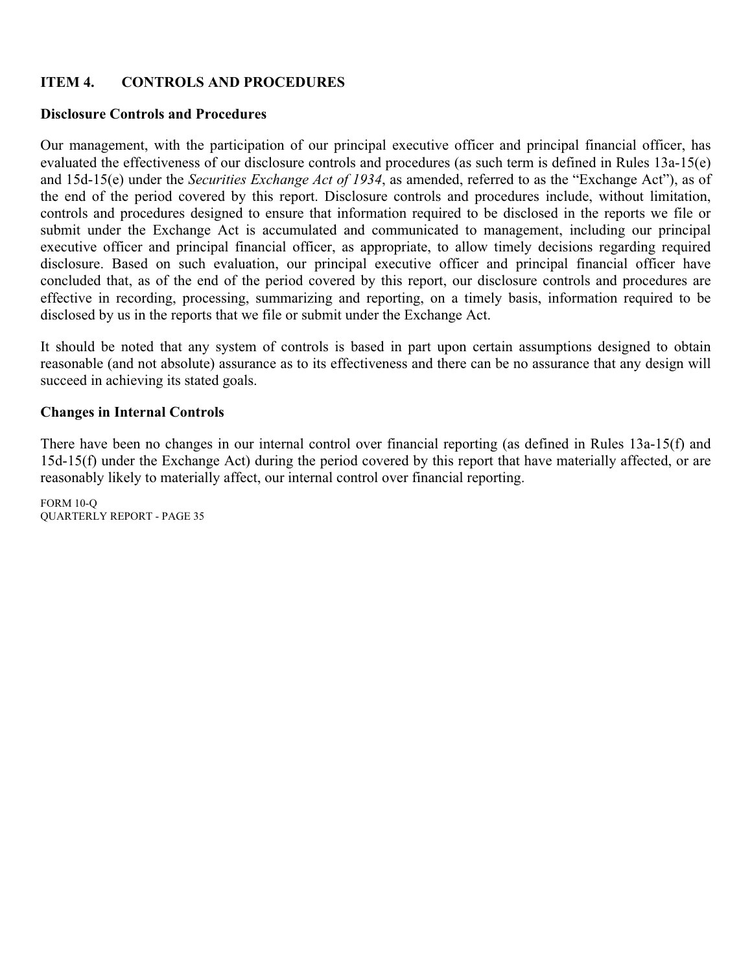# **ITEM 4. CONTROLS AND PROCEDURES**

# **Disclosure Controls and Procedures**

Our management, with the participation of our principal executive officer and principal financial officer, has evaluated the effectiveness of our disclosure controls and procedures (as such term is defined in Rules 13a-15(e) and 15d-15(e) under the *Securities Exchange Act of 1934*, as amended, referred to as the "Exchange Act"), as of the end of the period covered by this report. Disclosure controls and procedures include, without limitation, controls and procedures designed to ensure that information required to be disclosed in the reports we file or submit under the Exchange Act is accumulated and communicated to management, including our principal executive officer and principal financial officer, as appropriate, to allow timely decisions regarding required disclosure. Based on such evaluation, our principal executive officer and principal financial officer have concluded that, as of the end of the period covered by this report, our disclosure controls and procedures are effective in recording, processing, summarizing and reporting, on a timely basis, information required to be disclosed by us in the reports that we file or submit under the Exchange Act.

It should be noted that any system of controls is based in part upon certain assumptions designed to obtain reasonable (and not absolute) assurance as to its effectiveness and there can be no assurance that any design will succeed in achieving its stated goals.

# **Changes in Internal Controls**

There have been no changes in our internal control over financial reporting (as defined in Rules 13a-15(f) and 15d-15(f) under the Exchange Act) during the period covered by this report that have materially affected, or are reasonably likely to materially affect, our internal control over financial reporting.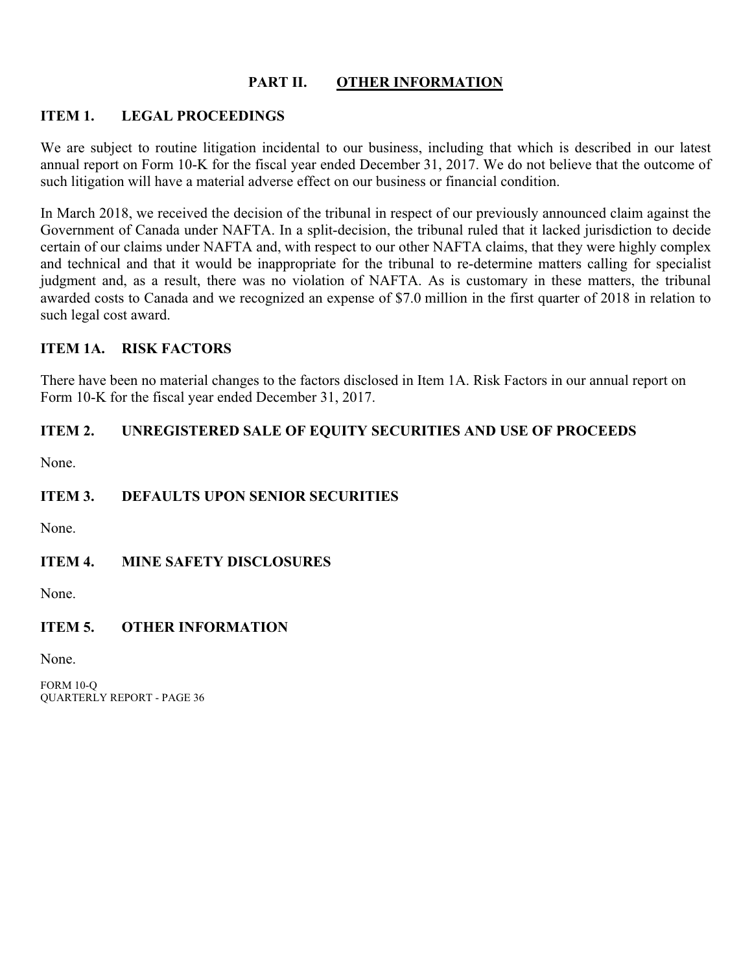# **PART II. OTHER INFORMATION**

# **ITEM 1. LEGAL PROCEEDINGS**

We are subject to routine litigation incidental to our business, including that which is described in our latest annual report on Form 10-K for the fiscal year ended December 31, 2017. We do not believe that the outcome of such litigation will have a material adverse effect on our business or financial condition.

In March 2018, we received the decision of the tribunal in respect of our previously announced claim against the Government of Canada under NAFTA. In a split-decision, the tribunal ruled that it lacked jurisdiction to decide certain of our claims under NAFTA and, with respect to our other NAFTA claims, that they were highly complex and technical and that it would be inappropriate for the tribunal to re-determine matters calling for specialist judgment and, as a result, there was no violation of NAFTA. As is customary in these matters, the tribunal awarded costs to Canada and we recognized an expense of \$7.0 million in the first quarter of 2018 in relation to such legal cost award.

# **ITEM 1A. RISK FACTORS**

There have been no material changes to the factors disclosed in Item 1A. Risk Factors in our annual report on Form 10-K for the fiscal year ended December 31, 2017.

# **ITEM 2. UNREGISTERED SALE OF EQUITY SECURITIES AND USE OF PROCEEDS**

None.

# **ITEM 3. DEFAULTS UPON SENIOR SECURITIES**

None.

# **ITEM 4. MINE SAFETY DISCLOSURES**

None.

# **ITEM 5. OTHER INFORMATION**

None.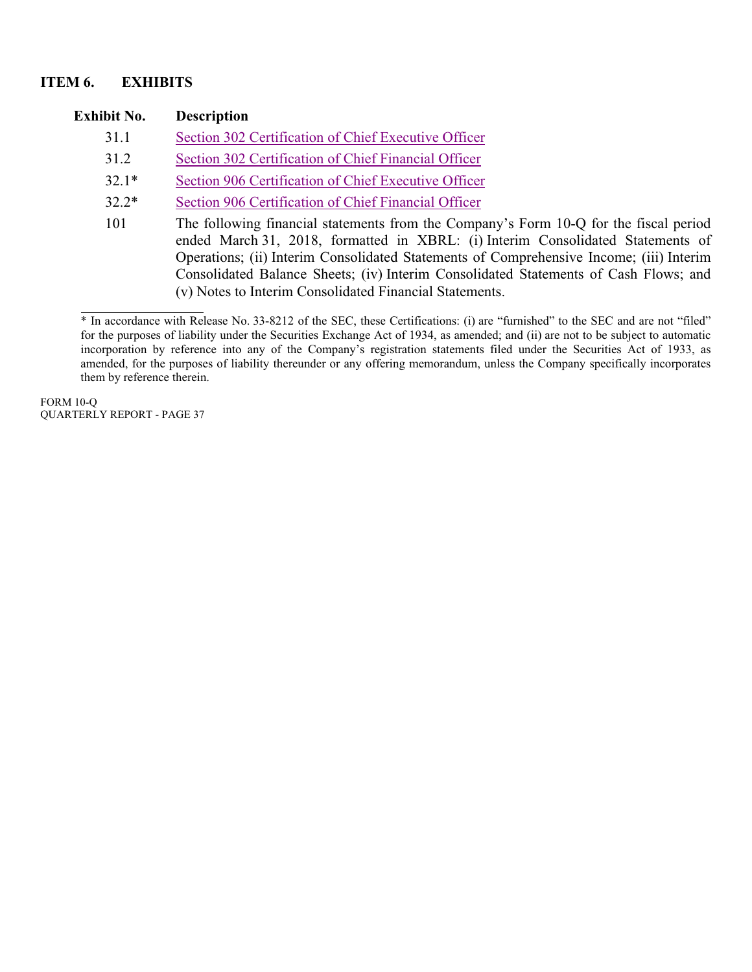# **ITEM 6. EXHIBITS**

### **Exhibit No. Description**

- 31.1 Section 302 Certification of Chief Executive Officer
- 31.2 Section 302 Certification of Chief Financial Officer
- 32.1\* Section 906 Certification of Chief Executive Officer
- 32.2\* Section 906 Certification of Chief Financial Officer
- 101 The following financial statements from the Company's Form 10-Q for the fiscal period ended March 31, 2018, formatted in XBRL: (i) Interim Consolidated Statements of Operations; (ii) Interim Consolidated Statements of Comprehensive Income; (iii) Interim Consolidated Balance Sheets; (iv) Interim Consolidated Statements of Cash Flows; and (v) Notes to Interim Consolidated Financial Statements.

<sup>\*</sup> In accordance with Release No. 33-8212 of the SEC, these Certifications: (i) are "furnished" to the SEC and are not "filed" for the purposes of liability under the Securities Exchange Act of 1934, as amended; and (ii) are not to be subject to automatic incorporation by reference into any of the Company's registration statements filed under the Securities Act of 1933, as amended, for the purposes of liability thereunder or any offering memorandum, unless the Company specifically incorporates them by reference therein.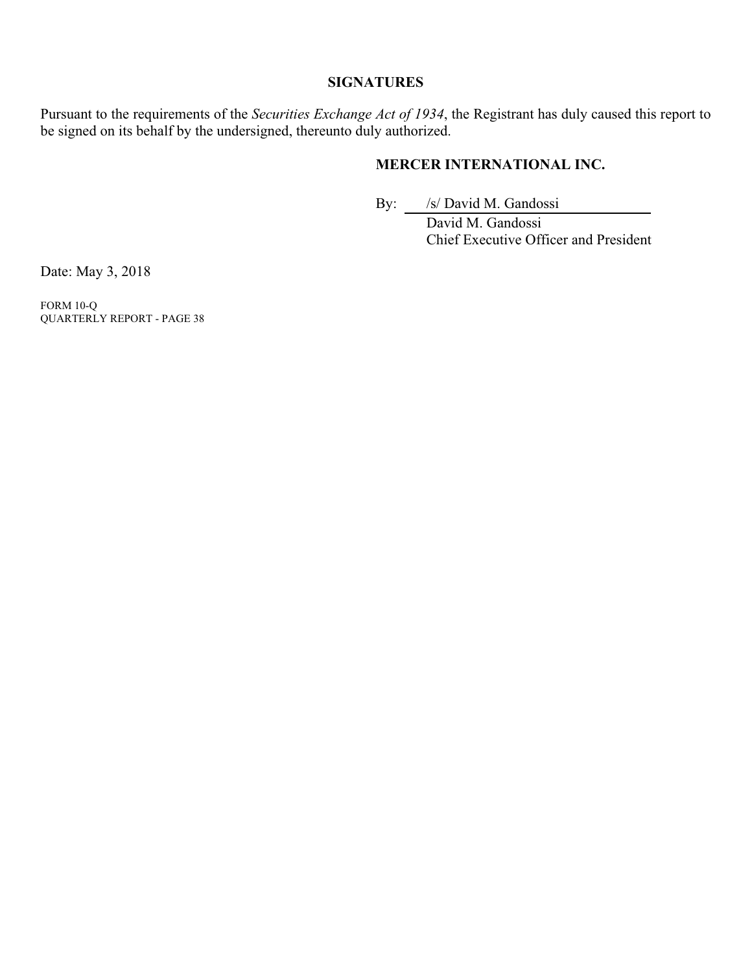# **SIGNATURES**

Pursuant to the requirements of the *Securities Exchange Act of 1934*, the Registrant has duly caused this report to be signed on its behalf by the undersigned, thereunto duly authorized.

# **MERCER INTERNATIONAL INC.**

By: /s/ David M. Gandossi

 David M. Gandossi Chief Executive Officer and President

Date: May 3, 2018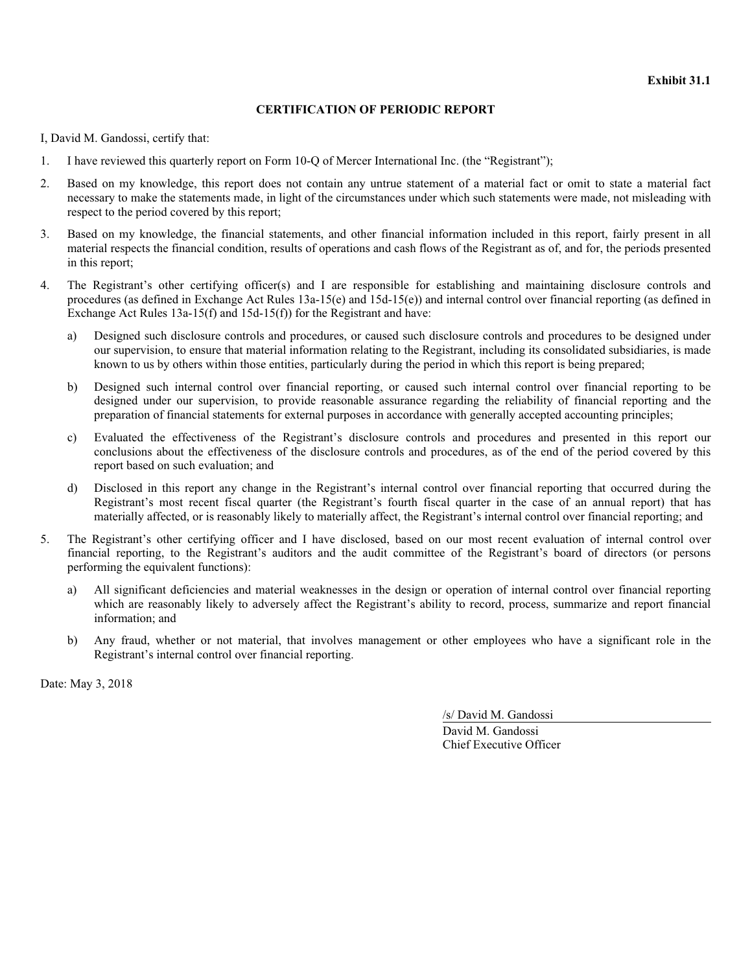I, David M. Gandossi, certify that:

- 1. I have reviewed this quarterly report on Form 10-Q of Mercer International Inc. (the "Registrant");
- 2. Based on my knowledge, this report does not contain any untrue statement of a material fact or omit to state a material fact necessary to make the statements made, in light of the circumstances under which such statements were made, not misleading with respect to the period covered by this report;
- 3. Based on my knowledge, the financial statements, and other financial information included in this report, fairly present in all material respects the financial condition, results of operations and cash flows of the Registrant as of, and for, the periods presented in this report;
- 4. The Registrant's other certifying officer(s) and I are responsible for establishing and maintaining disclosure controls and procedures (as defined in Exchange Act Rules 13a-15(e) and 15d-15(e)) and internal control over financial reporting (as defined in Exchange Act Rules 13a-15(f) and 15d-15(f)) for the Registrant and have:
	- a) Designed such disclosure controls and procedures, or caused such disclosure controls and procedures to be designed under our supervision, to ensure that material information relating to the Registrant, including its consolidated subsidiaries, is made known to us by others within those entities, particularly during the period in which this report is being prepared;
	- b) Designed such internal control over financial reporting, or caused such internal control over financial reporting to be designed under our supervision, to provide reasonable assurance regarding the reliability of financial reporting and the preparation of financial statements for external purposes in accordance with generally accepted accounting principles;
	- c) Evaluated the effectiveness of the Registrant's disclosure controls and procedures and presented in this report our conclusions about the effectiveness of the disclosure controls and procedures, as of the end of the period covered by this report based on such evaluation; and
	- d) Disclosed in this report any change in the Registrant's internal control over financial reporting that occurred during the Registrant's most recent fiscal quarter (the Registrant's fourth fiscal quarter in the case of an annual report) that has materially affected, or is reasonably likely to materially affect, the Registrant's internal control over financial reporting; and
- 5. The Registrant's other certifying officer and I have disclosed, based on our most recent evaluation of internal control over financial reporting, to the Registrant's auditors and the audit committee of the Registrant's board of directors (or persons performing the equivalent functions):
	- a) All significant deficiencies and material weaknesses in the design or operation of internal control over financial reporting which are reasonably likely to adversely affect the Registrant's ability to record, process, summarize and report financial information; and
	- b) Any fraud, whether or not material, that involves management or other employees who have a significant role in the Registrant's internal control over financial reporting.

Date: May 3, 2018

/s/ David M. Gandossi David M. Gandossi Chief Executive Officer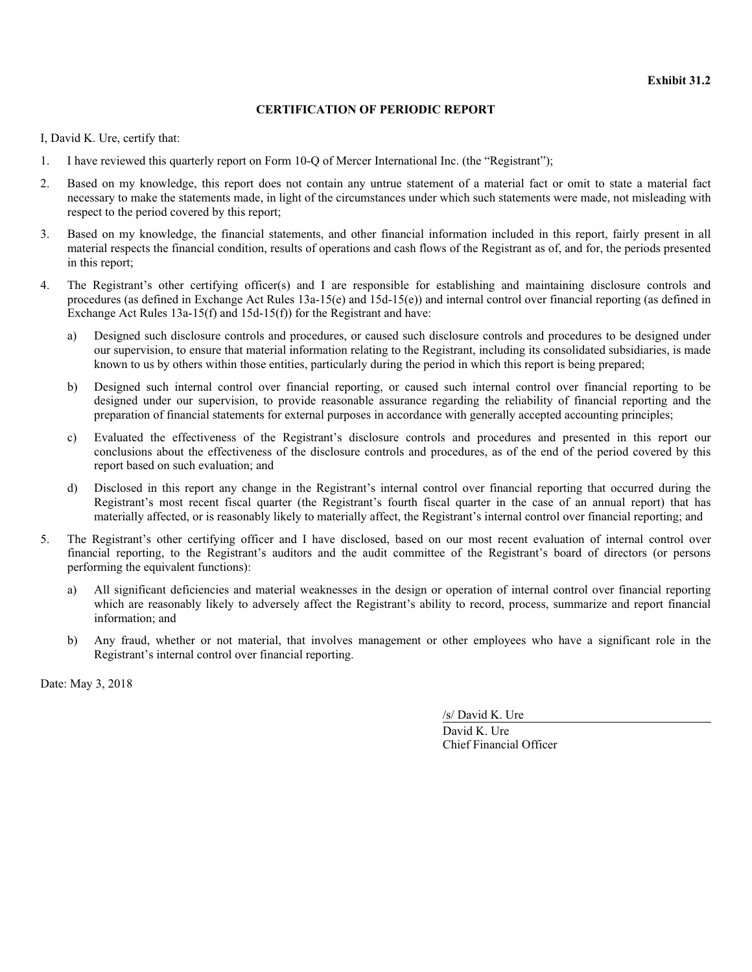I, David K. Ure, certify that:

- 1. I have reviewed this quarterly report on Form 10-Q of Mercer International Inc. (the "Registrant");
- 2. Based on my knowledge, this report does not contain any untrue statement of a material fact or omit to state a material fact necessary to make the statements made, in light of the circumstances under which such statements were made, not misleading with respect to the period covered by this report;
- 3. Based on my knowledge, the financial statements, and other financial information included in this report, fairly present in all material respects the financial condition, results of operations and cash flows of the Registrant as of, and for, the periods presented in this report;
- 4. The Registrant's other certifying officer(s) and I are responsible for establishing and maintaining disclosure controls and procedures (as defined in Exchange Act Rules 13a-15(e) and 15d-15(e)) and internal control over financial reporting (as defined in Exchange Act Rules 13a-15(f) and 15d-15(f)) for the Registrant and have:
	- a) Designed such disclosure controls and procedures, or caused such disclosure controls and procedures to be designed under our supervision, to ensure that material information relating to the Registrant, including its consolidated subsidiaries, is made known to us by others within those entities, particularly during the period in which this report is being prepared;
	- b) Designed such internal control over financial reporting, or caused such internal control over financial reporting to be designed under our supervision, to provide reasonable assurance regarding the reliability of financial reporting and the preparation of financial statements for external purposes in accordance with generally accepted accounting principles;
	- c) Evaluated the effectiveness of the Registrant's disclosure controls and procedures and presented in this report our conclusions about the effectiveness of the disclosure controls and procedures, as of the end of the period covered by this report based on such evaluation; and
	- d) Disclosed in this report any change in the Registrant's internal control over financial reporting that occurred during the Registrant's most recent fiscal quarter (the Registrant's fourth fiscal quarter in the case of an annual report) that has materially affected, or is reasonably likely to materially affect, the Registrant's internal control over financial reporting; and
- 5. The Registrant's other certifying officer and I have disclosed, based on our most recent evaluation of internal control over financial reporting, to the Registrant's auditors and the audit committee of the Registrant's board of directors (or persons performing the equivalent functions):
	- a) All significant deficiencies and material weaknesses in the design or operation of internal control over financial reporting which are reasonably likely to adversely affect the Registrant's ability to record, process, summarize and report financial information; and
	- b) Any fraud, whether or not material, that involves management or other employees who have a significant role in the Registrant's internal control over financial reporting.

Date: May 3, 2018

/s/ David K. Ure

David K. Ure Chief Financial Officer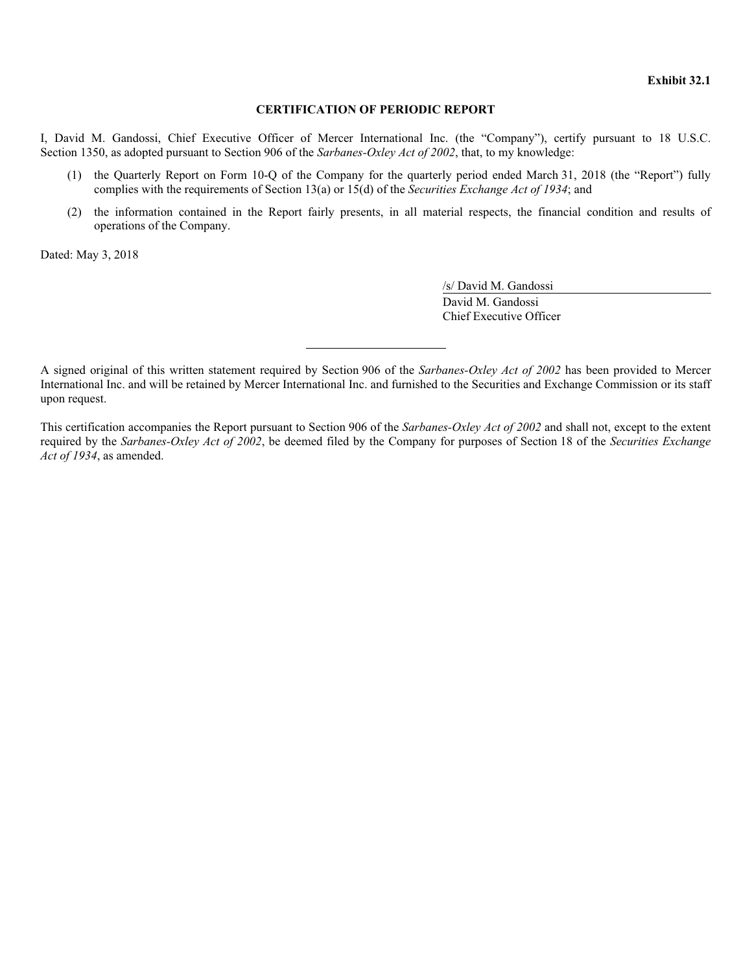I, David M. Gandossi, Chief Executive Officer of Mercer International Inc. (the "Company"), certify pursuant to 18 U.S.C. Section 1350, as adopted pursuant to Section 906 of the *Sarbanes-Oxley Act of 2002*, that, to my knowledge:

- (1) the Quarterly Report on Form 10-Q of the Company for the quarterly period ended March 31, 2018 (the "Report") fully complies with the requirements of Section 13(a) or 15(d) of the *Securities Exchange Act of 1934*; and
- (2) the information contained in the Report fairly presents, in all material respects, the financial condition and results of operations of the Company.

Dated: May 3, 2018

/s/ David M. Gandossi David M. Gandossi Chief Executive Officer

A signed original of this written statement required by Section 906 of the *Sarbanes-Oxley Act of 2002* has been provided to Mercer International Inc. and will be retained by Mercer International Inc. and furnished to the Securities and Exchange Commission or its staff upon request.

This certification accompanies the Report pursuant to Section 906 of the *Sarbanes-Oxley Act of 2002* and shall not, except to the extent required by the *Sarbanes-Oxley Act of 2002*, be deemed filed by the Company for purposes of Section 18 of the *Securities Exchange Act of 1934*, as amended.